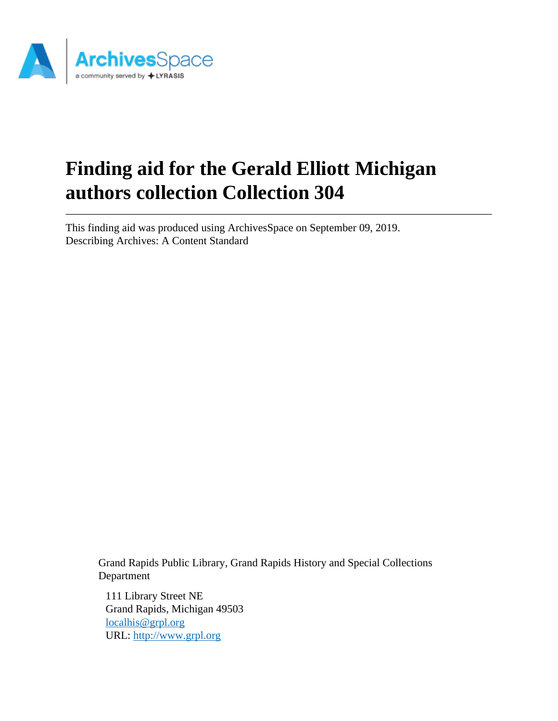

# **Finding aid for the Gerald Elliott Michigan authors collection Collection 304**

This finding aid was produced using ArchivesSpace on September 09, 2019. Describing Archives: A Content Standard

Grand Rapids Public Library, Grand Rapids History and Special Collections Department

111 Library Street NE Grand Rapids, Michigan 49503 [localhis@grpl.org](mailto:localhis@grpl.org) URL:<http://www.grpl.org>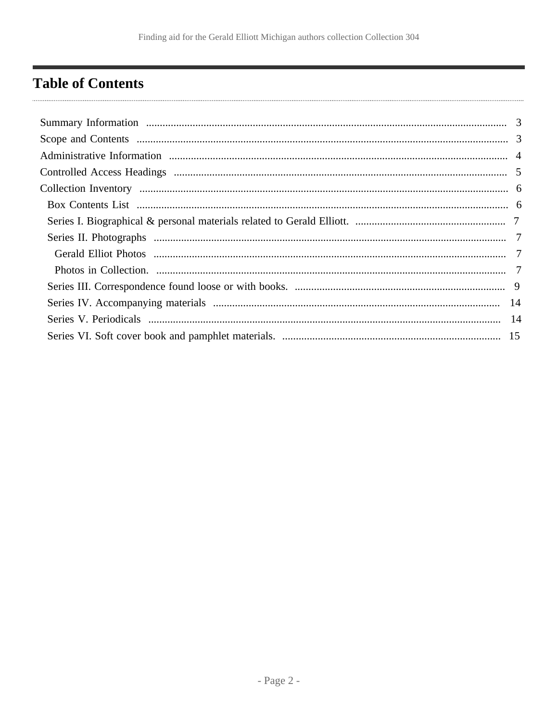# <span id="page-1-0"></span>**Table of Contents**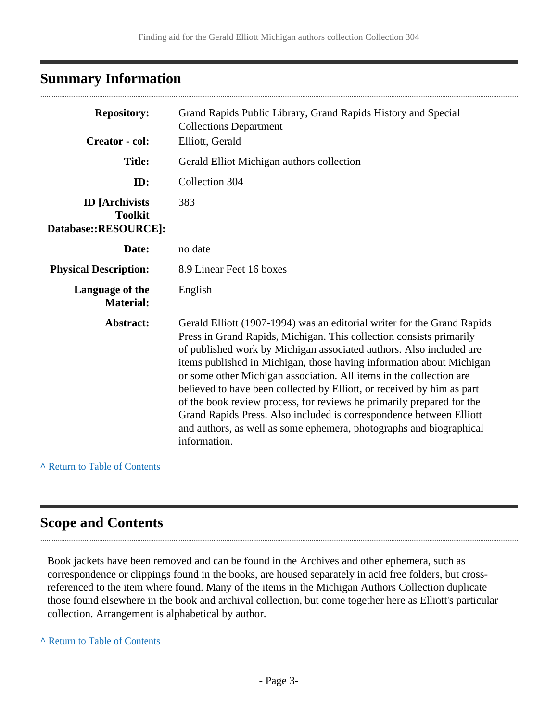# <span id="page-2-0"></span>**Summary Information**

| <b>Repository:</b><br><b>Creator</b> - col:                     | Grand Rapids Public Library, Grand Rapids History and Special<br><b>Collections Department</b><br>Elliott, Gerald                                                                                                                                                                                                                                                                                                                                                                                                                                                                                                                                                                     |
|-----------------------------------------------------------------|---------------------------------------------------------------------------------------------------------------------------------------------------------------------------------------------------------------------------------------------------------------------------------------------------------------------------------------------------------------------------------------------------------------------------------------------------------------------------------------------------------------------------------------------------------------------------------------------------------------------------------------------------------------------------------------|
| <b>Title:</b>                                                   | Gerald Elliot Michigan authors collection                                                                                                                                                                                                                                                                                                                                                                                                                                                                                                                                                                                                                                             |
| ID:                                                             | Collection 304                                                                                                                                                                                                                                                                                                                                                                                                                                                                                                                                                                                                                                                                        |
| <b>ID</b> [Archivists<br><b>Toolkit</b><br>Database::RESOURCE]: | 383                                                                                                                                                                                                                                                                                                                                                                                                                                                                                                                                                                                                                                                                                   |
| Date:                                                           | no date                                                                                                                                                                                                                                                                                                                                                                                                                                                                                                                                                                                                                                                                               |
| <b>Physical Description:</b>                                    | 8.9 Linear Feet 16 boxes                                                                                                                                                                                                                                                                                                                                                                                                                                                                                                                                                                                                                                                              |
| Language of the<br><b>Material:</b>                             | English                                                                                                                                                                                                                                                                                                                                                                                                                                                                                                                                                                                                                                                                               |
| Abstract:                                                       | Gerald Elliott (1907-1994) was an editorial writer for the Grand Rapids<br>Press in Grand Rapids, Michigan. This collection consists primarily<br>of published work by Michigan associated authors. Also included are<br>items published in Michigan, those having information about Michigan<br>or some other Michigan association. All items in the collection are<br>believed to have been collected by Elliott, or received by him as part<br>of the book review process, for reviews he primarily prepared for the<br>Grand Rapids Press. Also included is correspondence between Elliott<br>and authors, as well as some ephemera, photographs and biographical<br>information. |

### **^** [Return to Table of Contents](#page-1-0)

# <span id="page-2-1"></span>**Scope and Contents**

Book jackets have been removed and can be found in the Archives and other ephemera, such as correspondence or clippings found in the books, are housed separately in acid free folders, but crossreferenced to the item where found. Many of the items in the Michigan Authors Collection duplicate those found elsewhere in the book and archival collection, but come together here as Elliott's particular collection. Arrangement is alphabetical by author.

**^** [Return to Table of Contents](#page-1-0)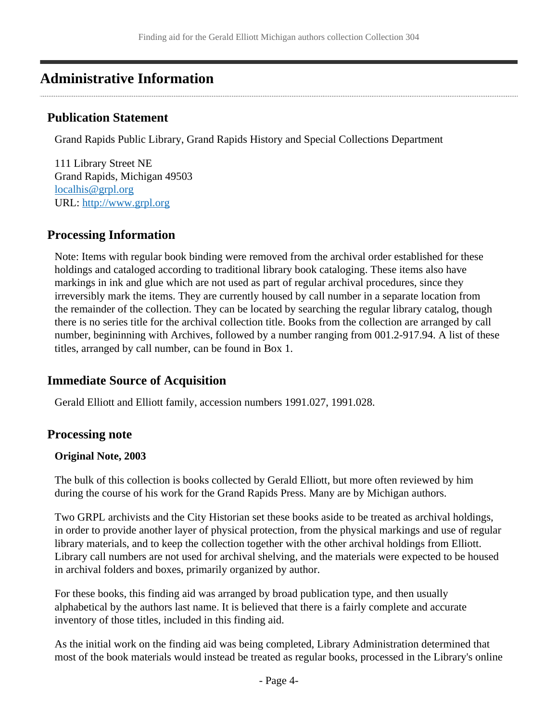# <span id="page-3-0"></span>**Administrative Information**

# **Publication Statement**

Grand Rapids Public Library, Grand Rapids History and Special Collections Department

111 Library Street NE Grand Rapids, Michigan 49503 [localhis@grpl.org](mailto:localhis@grpl.org) URL:<http://www.grpl.org>

# **Processing Information**

Note: Items with regular book binding were removed from the archival order established for these holdings and cataloged according to traditional library book cataloging. These items also have markings in ink and glue which are not used as part of regular archival procedures, since they irreversibly mark the items. They are currently housed by call number in a separate location from the remainder of the collection. They can be located by searching the regular library catalog, though there is no series title for the archival collection title. Books from the collection are arranged by call number, begininning with Archives, followed by a number ranging from 001.2-917.94. A list of these titles, arranged by call number, can be found in Box 1.

# **Immediate Source of Acquisition**

Gerald Elliott and Elliott family, accession numbers 1991.027, 1991.028.

# **Processing note**

### **Original Note, 2003**

The bulk of this collection is books collected by Gerald Elliott, but more often reviewed by him during the course of his work for the Grand Rapids Press. Many are by Michigan authors.

Two GRPL archivists and the City Historian set these books aside to be treated as archival holdings, in order to provide another layer of physical protection, from the physical markings and use of regular library materials, and to keep the collection together with the other archival holdings from Elliott. Library call numbers are not used for archival shelving, and the materials were expected to be housed in archival folders and boxes, primarily organized by author.

For these books, this finding aid was arranged by broad publication type, and then usually alphabetical by the authors last name. It is believed that there is a fairly complete and accurate inventory of those titles, included in this finding aid.

As the initial work on the finding aid was being completed, Library Administration determined that most of the book materials would instead be treated as regular books, processed in the Library's online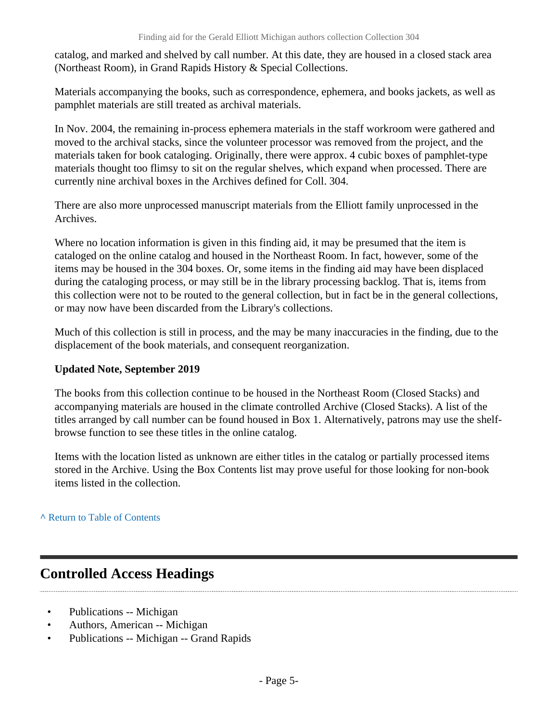catalog, and marked and shelved by call number. At this date, they are housed in a closed stack area (Northeast Room), in Grand Rapids History & Special Collections.

Materials accompanying the books, such as correspondence, ephemera, and books jackets, as well as pamphlet materials are still treated as archival materials.

In Nov. 2004, the remaining in-process ephemera materials in the staff workroom were gathered and moved to the archival stacks, since the volunteer processor was removed from the project, and the materials taken for book cataloging. Originally, there were approx. 4 cubic boxes of pamphlet-type materials thought too flimsy to sit on the regular shelves, which expand when processed. There are currently nine archival boxes in the Archives defined for Coll. 304.

There are also more unprocessed manuscript materials from the Elliott family unprocessed in the Archives.

Where no location information is given in this finding aid, it may be presumed that the item is cataloged on the online catalog and housed in the Northeast Room. In fact, however, some of the items may be housed in the 304 boxes. Or, some items in the finding aid may have been displaced during the cataloging process, or may still be in the library processing backlog. That is, items from this collection were not to be routed to the general collection, but in fact be in the general collections, or may now have been discarded from the Library's collections.

Much of this collection is still in process, and the may be many inaccuracies in the finding, due to the displacement of the book materials, and consequent reorganization.

### **Updated Note, September 2019**

The books from this collection continue to be housed in the Northeast Room (Closed Stacks) and accompanying materials are housed in the climate controlled Archive (Closed Stacks). A list of the titles arranged by call number can be found housed in Box 1. Alternatively, patrons may use the shelfbrowse function to see these titles in the online catalog.

Items with the location listed as unknown are either titles in the catalog or partially processed items stored in the Archive. Using the Box Contents list may prove useful for those looking for non-book items listed in the collection.

### **^** [Return to Table of Contents](#page-1-0)

# <span id="page-4-0"></span>**Controlled Access Headings**

- Publications -- Michigan
- Authors, American -- Michigan
- Publications -- Michigan -- Grand Rapids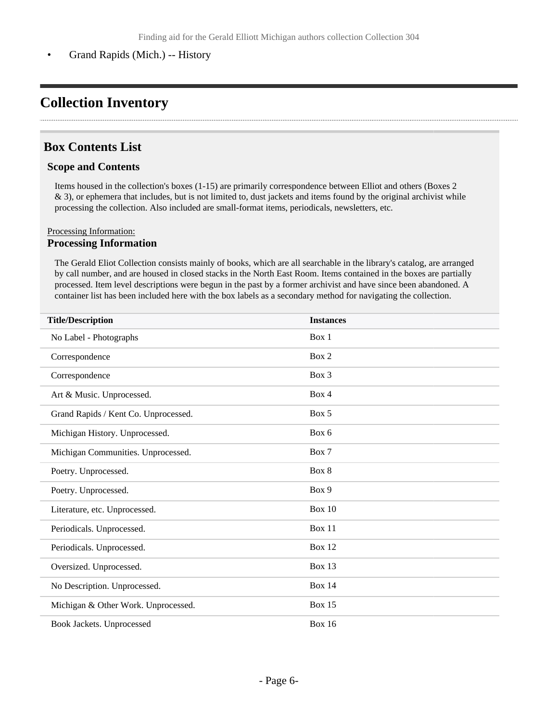• Grand Rapids (Mich.) -- History

# <span id="page-5-0"></span>**Collection Inventory**

# <span id="page-5-1"></span>**Box Contents List**

#### **Scope and Contents**

Items housed in the collection's boxes (1-15) are primarily correspondence between Elliot and others (Boxes 2 & 3), or ephemera that includes, but is not limited to, dust jackets and items found by the original archivist while processing the collection. Also included are small-format items, periodicals, newsletters, etc.

#### Processing Information: **Processing Information**

The Gerald Eliot Collection consists mainly of books, which are all searchable in the library's catalog, are arranged by call number, and are housed in closed stacks in the North East Room. Items contained in the boxes are partially processed. Item level descriptions were begun in the past by a former archivist and have since been abandoned. A container list has been included here with the box labels as a secondary method for navigating the collection.

| <b>Title/Description</b>             | <b>Instances</b> |
|--------------------------------------|------------------|
| No Label - Photographs               | Box 1            |
| Correspondence                       | Box 2            |
| Correspondence                       | Box 3            |
| Art & Music. Unprocessed.            | Box 4            |
| Grand Rapids / Kent Co. Unprocessed. | Box 5            |
| Michigan History. Unprocessed.       | Box 6            |
| Michigan Communities. Unprocessed.   | Box 7            |
| Poetry. Unprocessed.                 | Box 8            |
| Poetry. Unprocessed.                 | Box 9            |
| Literature, etc. Unprocessed.        | <b>Box 10</b>    |
| Periodicals. Unprocessed.            | Box 11           |
| Periodicals. Unprocessed.            | <b>Box 12</b>    |
| Oversized. Unprocessed.              | Box 13           |
| No Description. Unprocessed.         | <b>Box 14</b>    |
| Michigan & Other Work. Unprocessed.  | <b>Box 15</b>    |
| Book Jackets. Unprocessed            | <b>Box 16</b>    |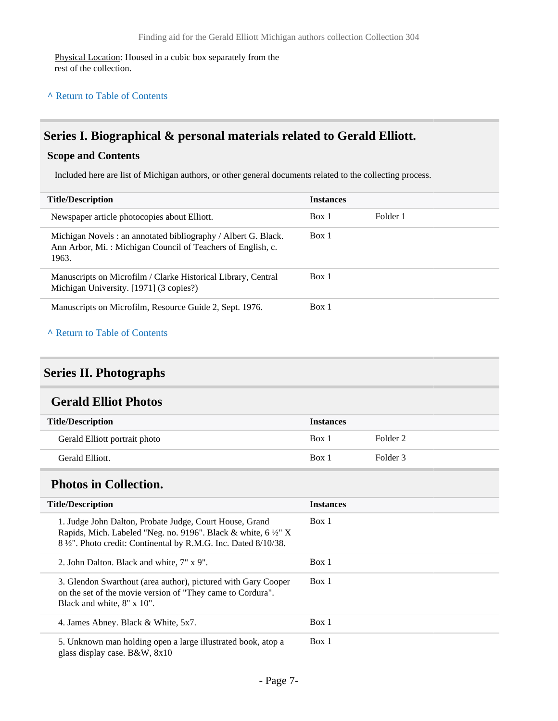Physical Location: Housed in a cubic box separately from the rest of the collection.

### **^** [Return to Table of Contents](#page-1-0)

# <span id="page-6-0"></span>**Series I. Biographical & personal materials related to Gerald Elliott.**

#### **Scope and Contents**

Included here are list of Michigan authors, or other general documents related to the collecting process.

| <b>Title/Description</b>                                                                                                              | <b>Instances</b> |          |
|---------------------------------------------------------------------------------------------------------------------------------------|------------------|----------|
| Newspaper article photocopies about Elliott.                                                                                          | Box 1            | Folder 1 |
| Michigan Novels: an annotated bibliography / Albert G. Black.<br>Ann Arbor, Mi.: Michigan Council of Teachers of English, c.<br>1963. | Box 1            |          |
| Manuscripts on Microfilm / Clarke Historical Library, Central<br>Michigan University. [1971] (3 copies?)                              | Box 1            |          |
| Manuscripts on Microfilm, Resource Guide 2, Sept. 1976.                                                                               | Box 1            |          |
| A Return to Table of Contents                                                                                                         |                  |          |

# <span id="page-6-1"></span>**Series II. Photographs**

### <span id="page-6-2"></span>**Gerald Elliot Photos**

| <b>Title/Description</b>      | <b>Instances</b> |          |
|-------------------------------|------------------|----------|
| Gerald Elliott portrait photo | Box 1            | Folder 2 |
| Gerald Elliott.               | Box 1            | Folder 3 |

### <span id="page-6-3"></span>**Photos in Collection.**

| <b>Title/Description</b>                                                                                                                                                                                              | <b>Instances</b> |
|-----------------------------------------------------------------------------------------------------------------------------------------------------------------------------------------------------------------------|------------------|
| 1. Judge John Dalton, Probate Judge, Court House, Grand<br>Rapids, Mich. Labeled "Neg. no. 9196". Black & white, 6 1/2" X<br>8 <sup>1</sup> / <sub>2</sub> ". Photo credit: Continental by R.M.G. Inc. Dated 8/10/38. | Box 1            |
| 2. John Dalton. Black and white, 7" x 9".                                                                                                                                                                             | Box 1            |
| 3. Glendon Swarthout (area author), pictured with Gary Cooper<br>on the set of the movie version of "They came to Cordura".<br>Black and white, 8" x 10".                                                             | Box 1            |
| 4. James Abney. Black & White, 5x7.                                                                                                                                                                                   | Box 1            |
| 5. Unknown man holding open a large illustrated book, atop a<br>glass display case. B&W, 8x10                                                                                                                         | Box 1            |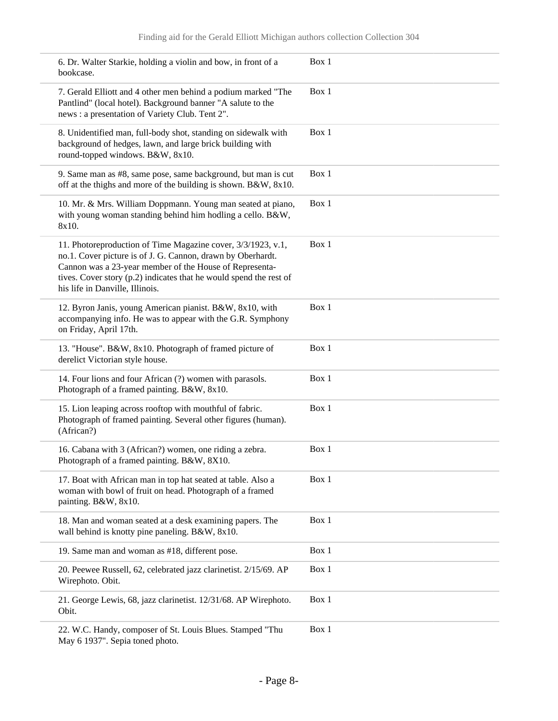| 6. Dr. Walter Starkie, holding a violin and bow, in front of a<br>bookcase.                                                                                                                                                                                                                     | Box 1 |
|-------------------------------------------------------------------------------------------------------------------------------------------------------------------------------------------------------------------------------------------------------------------------------------------------|-------|
| 7. Gerald Elliott and 4 other men behind a podium marked "The<br>Pantlind" (local hotel). Background banner "A salute to the<br>news : a presentation of Variety Club. Tent 2".                                                                                                                 | Box 1 |
| 8. Unidentified man, full-body shot, standing on sidewalk with<br>background of hedges, lawn, and large brick building with<br>round-topped windows. B&W, 8x10.                                                                                                                                 | Box 1 |
| 9. Same man as #8, same pose, same background, but man is cut<br>off at the thighs and more of the building is shown. B&W, 8x10.                                                                                                                                                                | Box 1 |
| 10. Mr. & Mrs. William Doppmann. Young man seated at piano,<br>with young woman standing behind him hodling a cello. B&W,<br>8x10.                                                                                                                                                              | Box 1 |
| 11. Photoreproduction of Time Magazine cover, 3/3/1923, v.1,<br>no.1. Cover picture is of J. G. Cannon, drawn by Oberhardt.<br>Cannon was a 23-year member of the House of Representa-<br>tives. Cover story (p.2) indicates that he would spend the rest of<br>his life in Danville, Illinois. | Box 1 |
| 12. Byron Janis, young American pianist. B&W, 8x10, with<br>accompanying info. He was to appear with the G.R. Symphony<br>on Friday, April 17th.                                                                                                                                                | Box 1 |
| 13. "House". B&W, 8x10. Photograph of framed picture of<br>derelict Victorian style house.                                                                                                                                                                                                      | Box 1 |
| 14. Four lions and four African (?) women with parasols.<br>Photograph of a framed painting. B&W, 8x10.                                                                                                                                                                                         | Box 1 |
| 15. Lion leaping across rooftop with mouthful of fabric.<br>Photograph of framed painting. Several other figures (human).<br>(African?)                                                                                                                                                         | Box 1 |
| 16. Cabana with 3 (African?) women, one riding a zebra.<br>Photograph of a framed painting. B&W, 8X10.                                                                                                                                                                                          | Box 1 |
| 17. Boat with African man in top hat seated at table. Also a<br>woman with bowl of fruit on head. Photograph of a framed<br>painting. B&W, 8x10.                                                                                                                                                | Box 1 |
| 18. Man and woman seated at a desk examining papers. The<br>wall behind is knotty pine paneling. B&W, 8x10.                                                                                                                                                                                     | Box 1 |
| 19. Same man and woman as #18, different pose.                                                                                                                                                                                                                                                  | Box 1 |
| 20. Peewee Russell, 62, celebrated jazz clarinetist. 2/15/69. AP<br>Wirephoto. Obit.                                                                                                                                                                                                            | Box 1 |
| 21. George Lewis, 68, jazz clarinetist. 12/31/68. AP Wirephoto.<br>Obit.                                                                                                                                                                                                                        | Box 1 |
| 22. W.C. Handy, composer of St. Louis Blues. Stamped "Thu<br>May 6 1937". Sepia toned photo.                                                                                                                                                                                                    | Box 1 |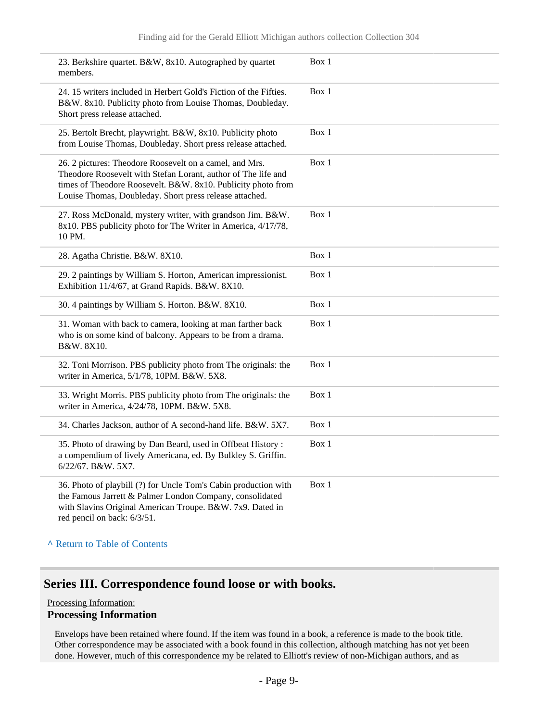| 23. Berkshire quartet. B&W, 8x10. Autographed by quartet<br>members.                                                                                                                                                                                | Box 1 |
|-----------------------------------------------------------------------------------------------------------------------------------------------------------------------------------------------------------------------------------------------------|-------|
| 24. 15 writers included in Herbert Gold's Fiction of the Fifties.<br>B&W. 8x10. Publicity photo from Louise Thomas, Doubleday.<br>Short press release attached.                                                                                     | Box 1 |
| 25. Bertolt Brecht, playwright. B&W, 8x10. Publicity photo<br>from Louise Thomas, Doubleday. Short press release attached.                                                                                                                          | Box 1 |
| 26. 2 pictures: Theodore Roosevelt on a camel, and Mrs.<br>Theodore Roosevelt with Stefan Lorant, author of The life and<br>times of Theodore Roosevelt. B&W. 8x10. Publicity photo from<br>Louise Thomas, Doubleday. Short press release attached. | Box 1 |
| 27. Ross McDonald, mystery writer, with grandson Jim. B&W.<br>8x10. PBS publicity photo for The Writer in America, 4/17/78,<br>10 PM.                                                                                                               | Box 1 |
| 28. Agatha Christie. B&W. 8X10.                                                                                                                                                                                                                     | Box 1 |
| 29. 2 paintings by William S. Horton, American impressionist.<br>Exhibition 11/4/67, at Grand Rapids. B&W. 8X10.                                                                                                                                    | Box 1 |
| 30. 4 paintings by William S. Horton. B&W. 8X10.                                                                                                                                                                                                    | Box 1 |
| 31. Woman with back to camera, looking at man farther back<br>who is on some kind of balcony. Appears to be from a drama.<br>B&W. 8X10.                                                                                                             | Box 1 |
| 32. Toni Morrison. PBS publicity photo from The originals: the<br>writer in America, 5/1/78, 10PM. B&W. 5X8.                                                                                                                                        | Box 1 |
| 33. Wright Morris. PBS publicity photo from The originals: the<br>writer in America, 4/24/78, 10PM. B&W. 5X8.                                                                                                                                       | Box 1 |
| 34. Charles Jackson, author of A second-hand life. B&W. 5X7.                                                                                                                                                                                        | Box 1 |
| 35. Photo of drawing by Dan Beard, used in Offbeat History:<br>a compendium of lively Americana, ed. By Bulkley S. Griffin.<br>6/22/67. B&W. 5X7.                                                                                                   | Box 1 |
| 36. Photo of playbill (?) for Uncle Tom's Cabin production with<br>the Famous Jarrett & Palmer London Company, consolidated<br>with Slavins Original American Troupe. B&W. 7x9. Dated in<br>red pencil on back: 6/3/51.                             | Box 1 |

#### **^** [Return to Table of Contents](#page-1-0)

# <span id="page-8-0"></span>**Series III. Correspondence found loose or with books.**

#### Processing Information:

#### **Processing Information**

Envelops have been retained where found. If the item was found in a book, a reference is made to the book title. Other correspondence may be associated with a book found in this collection, although matching has not yet been done. However, much of this correspondence my be related to Elliott's review of non-Michigan authors, and as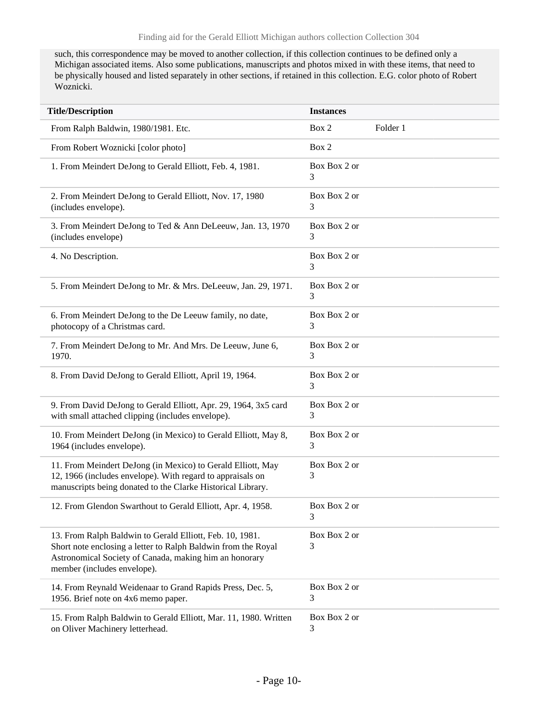such, this correspondence may be moved to another collection, if this collection continues to be defined only a Michigan associated items. Also some publications, manuscripts and photos mixed in with these items, that need to be physically housed and listed separately in other sections, if retained in this collection. E.G. color photo of Robert Woznicki.

| <b>Title/Description</b>                                                                                                                                                                                           | <b>Instances</b>  |          |
|--------------------------------------------------------------------------------------------------------------------------------------------------------------------------------------------------------------------|-------------------|----------|
| From Ralph Baldwin, 1980/1981. Etc.                                                                                                                                                                                | Box 2             | Folder 1 |
| From Robert Woznicki [color photo]                                                                                                                                                                                 | Box 2             |          |
| 1. From Meindert DeJong to Gerald Elliott, Feb. 4, 1981.                                                                                                                                                           | Box Box 2 or<br>3 |          |
| 2. From Meindert DeJong to Gerald Elliott, Nov. 17, 1980<br>(includes envelope).                                                                                                                                   | Box Box 2 or<br>3 |          |
| 3. From Meindert DeJong to Ted & Ann DeLeeuw, Jan. 13, 1970<br>(includes envelope)                                                                                                                                 | Box Box 2 or<br>3 |          |
| 4. No Description.                                                                                                                                                                                                 | Box Box 2 or<br>3 |          |
| 5. From Meindert DeJong to Mr. & Mrs. DeLeeuw, Jan. 29, 1971.                                                                                                                                                      | Box Box 2 or<br>3 |          |
| 6. From Meindert DeJong to the De Leeuw family, no date,<br>photocopy of a Christmas card.                                                                                                                         | Box Box 2 or<br>3 |          |
| 7. From Meindert DeJong to Mr. And Mrs. De Leeuw, June 6,<br>1970.                                                                                                                                                 | Box Box 2 or<br>3 |          |
| 8. From David DeJong to Gerald Elliott, April 19, 1964.                                                                                                                                                            | Box Box 2 or<br>3 |          |
| 9. From David DeJong to Gerald Elliott, Apr. 29, 1964, 3x5 card<br>with small attached clipping (includes envelope).                                                                                               | Box Box 2 or<br>3 |          |
| 10. From Meindert DeJong (in Mexico) to Gerald Elliott, May 8,<br>1964 (includes envelope).                                                                                                                        | Box Box 2 or<br>3 |          |
| 11. From Meindert DeJong (in Mexico) to Gerald Elliott, May<br>12, 1966 (includes envelope). With regard to appraisals on<br>manuscripts being donated to the Clarke Historical Library.                           | Box Box 2 or<br>3 |          |
| 12. From Glendon Swarthout to Gerald Elliott, Apr. 4, 1958.                                                                                                                                                        | Box Box 2 or<br>3 |          |
| 13. From Ralph Baldwin to Gerald Elliott, Feb. 10, 1981.<br>Short note enclosing a letter to Ralph Baldwin from the Royal<br>Astronomical Society of Canada, making him an honorary<br>member (includes envelope). | Box Box 2 or<br>3 |          |
| 14. From Reynald Weidenaar to Grand Rapids Press, Dec. 5,<br>1956. Brief note on 4x6 memo paper.                                                                                                                   | Box Box 2 or<br>3 |          |
| 15. From Ralph Baldwin to Gerald Elliott, Mar. 11, 1980. Written<br>on Oliver Machinery letterhead.                                                                                                                | Box Box 2 or<br>3 |          |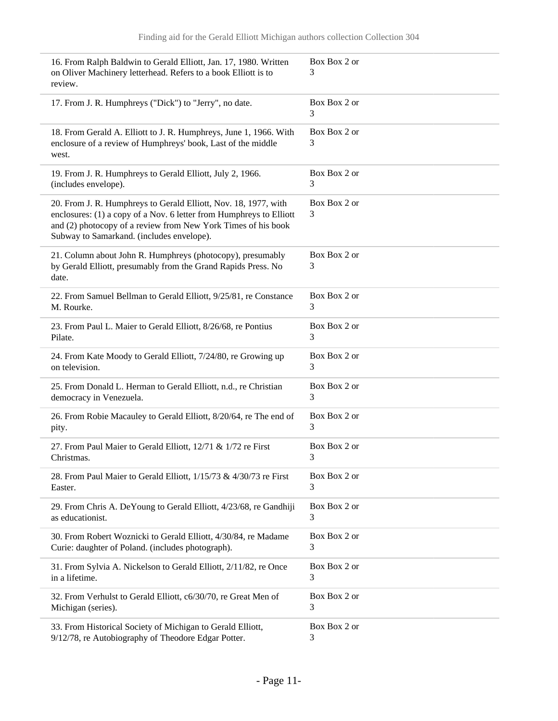| 16. From Ralph Baldwin to Gerald Elliott, Jan. 17, 1980. Written<br>on Oliver Machinery letterhead. Refers to a book Elliott is to<br>review.                                                                                                        | Box Box 2 or<br>3 |
|------------------------------------------------------------------------------------------------------------------------------------------------------------------------------------------------------------------------------------------------------|-------------------|
| 17. From J. R. Humphreys ("Dick") to "Jerry", no date.                                                                                                                                                                                               | Box Box 2 or<br>3 |
| 18. From Gerald A. Elliott to J. R. Humphreys, June 1, 1966. With<br>enclosure of a review of Humphreys' book, Last of the middle<br>west.                                                                                                           | Box Box 2 or<br>3 |
| 19. From J. R. Humphreys to Gerald Elliott, July 2, 1966.<br>(includes envelope).                                                                                                                                                                    | Box Box 2 or<br>3 |
| 20. From J. R. Humphreys to Gerald Elliott, Nov. 18, 1977, with<br>enclosures: (1) a copy of a Nov. 6 letter from Humphreys to Elliott<br>and (2) photocopy of a review from New York Times of his book<br>Subway to Samarkand. (includes envelope). | Box Box 2 or<br>3 |
| 21. Column about John R. Humphreys (photocopy), presumably<br>by Gerald Elliott, presumably from the Grand Rapids Press. No<br>date.                                                                                                                 | Box Box 2 or<br>3 |
| 22. From Samuel Bellman to Gerald Elliott, 9/25/81, re Constance<br>M. Rourke.                                                                                                                                                                       | Box Box 2 or<br>3 |
| 23. From Paul L. Maier to Gerald Elliott, 8/26/68, re Pontius<br>Pilate.                                                                                                                                                                             | Box Box 2 or<br>3 |
| 24. From Kate Moody to Gerald Elliott, 7/24/80, re Growing up<br>on television.                                                                                                                                                                      | Box Box 2 or<br>3 |
| 25. From Donald L. Herman to Gerald Elliott, n.d., re Christian<br>democracy in Venezuela.                                                                                                                                                           | Box Box 2 or<br>3 |
| 26. From Robie Macauley to Gerald Elliott, 8/20/64, re The end of<br>pity.                                                                                                                                                                           | Box Box 2 or<br>3 |
| 27. From Paul Maier to Gerald Elliott, 12/71 & 1/72 re First<br>Christmas.                                                                                                                                                                           | Box Box 2 or<br>3 |
| 28. From Paul Maier to Gerald Elliott, 1/15/73 & 4/30/73 re First<br>Easter.                                                                                                                                                                         | Box Box 2 or<br>3 |
| 29. From Chris A. DeYoung to Gerald Elliott, 4/23/68, re Gandhiji<br>as educationist.                                                                                                                                                                | Box Box 2 or<br>3 |
| 30. From Robert Woznicki to Gerald Elliott, 4/30/84, re Madame<br>Curie: daughter of Poland. (includes photograph).                                                                                                                                  | Box Box 2 or<br>3 |
| 31. From Sylvia A. Nickelson to Gerald Elliott, 2/11/82, re Once<br>in a lifetime.                                                                                                                                                                   | Box Box 2 or<br>3 |
| 32. From Verhulst to Gerald Elliott, c6/30/70, re Great Men of<br>Michigan (series).                                                                                                                                                                 | Box Box 2 or<br>3 |
| 33. From Historical Society of Michigan to Gerald Elliott,<br>9/12/78, re Autobiography of Theodore Edgar Potter.                                                                                                                                    | Box Box 2 or<br>3 |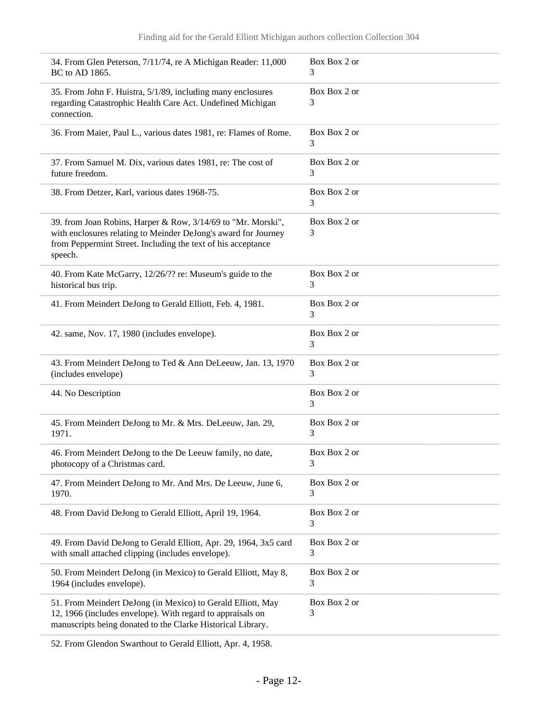| 34. From Glen Peterson, 7/11/74, re A Michigan Reader: 11,000                                                                                                                                             | Box Box 2 or      |
|-----------------------------------------------------------------------------------------------------------------------------------------------------------------------------------------------------------|-------------------|
| BC to AD 1865.                                                                                                                                                                                            | 3                 |
| 35. From John F. Huistra, 5/1/89, including many enclosures<br>regarding Catastrophic Health Care Act. Undefined Michigan<br>connection.                                                                  | Box Box 2 or<br>3 |
| 36. From Maier, Paul L., various dates 1981, re: Flames of Rome.                                                                                                                                          | Box Box 2 or<br>3 |
| 37. From Samuel M. Dix, various dates 1981, re: The cost of                                                                                                                                               | Box Box 2 or      |
| future freedom.                                                                                                                                                                                           | 3                 |
| 38. From Detzer, Karl, various dates 1968-75.                                                                                                                                                             | Box Box 2 or<br>3 |
| 39. from Joan Robins, Harper & Row, 3/14/69 to "Mr. Morski",<br>with enclosures relating to Meinder DeJong's award for Journey<br>from Peppermint Street. Including the text of his acceptance<br>speech. | Box Box 2 or<br>3 |
| 40. From Kate McGarry, 12/26/?? re: Museum's guide to the                                                                                                                                                 | Box Box 2 or      |
| historical bus trip.                                                                                                                                                                                      | 3                 |
| 41. From Meindert DeJong to Gerald Elliott, Feb. 4, 1981.                                                                                                                                                 | Box Box 2 or<br>3 |
| 42. same, Nov. 17, 1980 (includes envelope).                                                                                                                                                              | Box Box 2 or<br>3 |
| 43. From Meindert DeJong to Ted & Ann DeLeeuw, Jan. 13, 1970                                                                                                                                              | Box Box 2 or      |
| (includes envelope)                                                                                                                                                                                       | 3                 |
| 44. No Description                                                                                                                                                                                        | Box Box 2 or<br>3 |
| 45. From Meindert DeJong to Mr. & Mrs. DeLeeuw, Jan. 29,                                                                                                                                                  | Box Box 2 or      |
| 1971.                                                                                                                                                                                                     | 3                 |
| 46. From Meindert DeJong to the De Leeuw family, no date,                                                                                                                                                 | Box Box 2 or      |
| photocopy of a Christmas card.                                                                                                                                                                            | 3                 |
| 47. From Meindert DeJong to Mr. And Mrs. De Leeuw, June 6,                                                                                                                                                | Box Box 2 or      |
| 1970.                                                                                                                                                                                                     | 3                 |
| 48. From David DeJong to Gerald Elliott, April 19, 1964.                                                                                                                                                  | Box Box 2 or<br>3 |
| 49. From David DeJong to Gerald Elliott, Apr. 29, 1964, 3x5 card                                                                                                                                          | Box Box 2 or      |
| with small attached clipping (includes envelope).                                                                                                                                                         | 3                 |
| 50. From Meindert DeJong (in Mexico) to Gerald Elliott, May 8,                                                                                                                                            | Box Box 2 or      |
| 1964 (includes envelope).                                                                                                                                                                                 | 3                 |
| 51. From Meindert DeJong (in Mexico) to Gerald Elliott, May<br>12, 1966 (includes envelope). With regard to appraisals on<br>manuscripts being donated to the Clarke Historical Library.                  | Box Box 2 or<br>3 |

52. From Glendon Swarthout to Gerald Elliott, Apr. 4, 1958.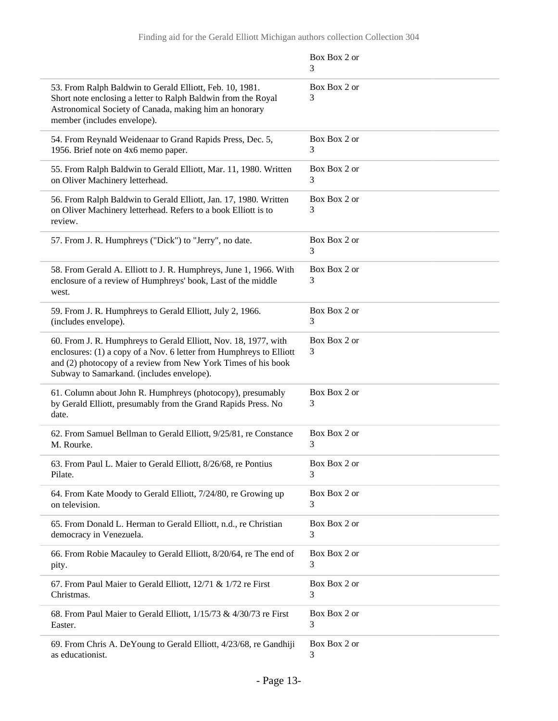|                                                                                                                                                                                                                                                      | Box Box 2 or<br>3 |
|------------------------------------------------------------------------------------------------------------------------------------------------------------------------------------------------------------------------------------------------------|-------------------|
| 53. From Ralph Baldwin to Gerald Elliott, Feb. 10, 1981.<br>Short note enclosing a letter to Ralph Baldwin from the Royal<br>Astronomical Society of Canada, making him an honorary<br>member (includes envelope).                                   | Box Box 2 or<br>3 |
| 54. From Reynald Weidenaar to Grand Rapids Press, Dec. 5,<br>1956. Brief note on 4x6 memo paper.                                                                                                                                                     | Box Box 2 or<br>3 |
| 55. From Ralph Baldwin to Gerald Elliott, Mar. 11, 1980. Written<br>on Oliver Machinery letterhead.                                                                                                                                                  | Box Box 2 or<br>3 |
| 56. From Ralph Baldwin to Gerald Elliott, Jan. 17, 1980. Written<br>on Oliver Machinery letterhead. Refers to a book Elliott is to<br>review.                                                                                                        | Box Box 2 or<br>3 |
| 57. From J. R. Humphreys ("Dick") to "Jerry", no date.                                                                                                                                                                                               | Box Box 2 or<br>3 |
| 58. From Gerald A. Elliott to J. R. Humphreys, June 1, 1966. With<br>enclosure of a review of Humphreys' book, Last of the middle<br>west.                                                                                                           | Box Box 2 or<br>3 |
| 59. From J. R. Humphreys to Gerald Elliott, July 2, 1966.<br>(includes envelope).                                                                                                                                                                    | Box Box 2 or<br>3 |
| 60. From J. R. Humphreys to Gerald Elliott, Nov. 18, 1977, with<br>enclosures: (1) a copy of a Nov. 6 letter from Humphreys to Elliott<br>and (2) photocopy of a review from New York Times of his book<br>Subway to Samarkand. (includes envelope). | Box Box 2 or<br>3 |
| 61. Column about John R. Humphreys (photocopy), presumably<br>by Gerald Elliott, presumably from the Grand Rapids Press. No<br>date.                                                                                                                 | Box Box 2 or<br>3 |
| 62. From Samuel Bellman to Gerald Elliott, 9/25/81, re Constance<br>M. Rourke.                                                                                                                                                                       | Box Box 2 or<br>3 |
| 63. From Paul L. Maier to Gerald Elliott, 8/26/68, re Pontius<br>Pilate.                                                                                                                                                                             | Box Box 2 or<br>3 |
| 64. From Kate Moody to Gerald Elliott, 7/24/80, re Growing up<br>on television.                                                                                                                                                                      | Box Box 2 or<br>3 |
| 65. From Donald L. Herman to Gerald Elliott, n.d., re Christian<br>democracy in Venezuela.                                                                                                                                                           | Box Box 2 or<br>3 |
| 66. From Robie Macauley to Gerald Elliott, 8/20/64, re The end of<br>pity.                                                                                                                                                                           | Box Box 2 or<br>3 |
| 67. From Paul Maier to Gerald Elliott, 12/71 & 1/72 re First<br>Christmas.                                                                                                                                                                           | Box Box 2 or<br>3 |
| 68. From Paul Maier to Gerald Elliott, 1/15/73 & 4/30/73 re First<br>Easter.                                                                                                                                                                         | Box Box 2 or<br>3 |
| 69. From Chris A. De Young to Gerald Elliott, 4/23/68, re Gandhiji<br>as educationist.                                                                                                                                                               | Box Box 2 or<br>3 |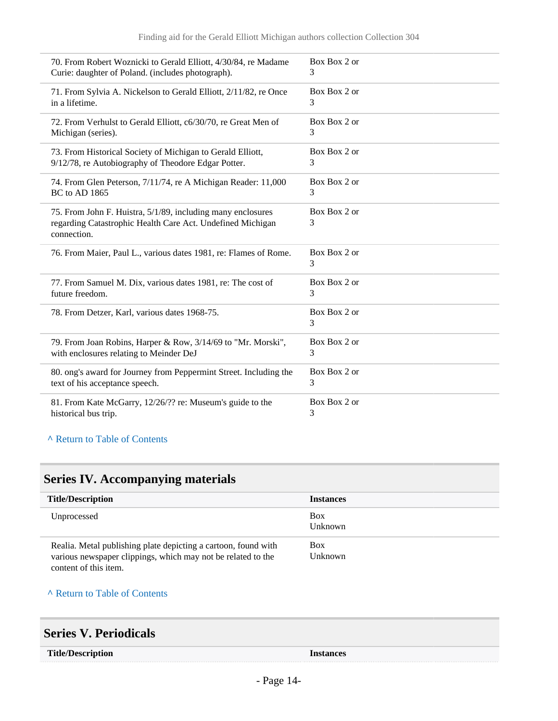| 70. From Robert Woznicki to Gerald Elliott, 4/30/84, re Madame                                                                           | Box Box 2 or      |
|------------------------------------------------------------------------------------------------------------------------------------------|-------------------|
| Curie: daughter of Poland. (includes photograph).                                                                                        | 3                 |
| 71. From Sylvia A. Nickelson to Gerald Elliott, 2/11/82, re Once                                                                         | Box Box 2 or      |
| in a lifetime.                                                                                                                           | 3                 |
| 72. From Verhulst to Gerald Elliott, c6/30/70, re Great Men of                                                                           | Box Box 2 or      |
| Michigan (series).                                                                                                                       | 3                 |
| 73. From Historical Society of Michigan to Gerald Elliott,                                                                               | Box Box 2 or      |
| 9/12/78, re Autobiography of Theodore Edgar Potter.                                                                                      | 3                 |
| 74. From Glen Peterson, 7/11/74, re A Michigan Reader: 11,000                                                                            | Box Box 2 or      |
| <b>BC</b> to AD 1865                                                                                                                     | 3                 |
| 75. From John F. Huistra, 5/1/89, including many enclosures<br>regarding Catastrophic Health Care Act. Undefined Michigan<br>connection. | Box Box 2 or<br>3 |
| 76. From Maier, Paul L., various dates 1981, re: Flames of Rome.                                                                         | Box Box 2 or<br>3 |
| 77. From Samuel M. Dix, various dates 1981, re: The cost of                                                                              | Box Box 2 or      |
| future freedom.                                                                                                                          | 3                 |
| 78. From Detzer, Karl, various dates 1968-75.                                                                                            | Box Box 2 or<br>3 |
| 79. From Joan Robins, Harper & Row, 3/14/69 to "Mr. Morski",                                                                             | Box Box 2 or      |
| with enclosures relating to Meinder DeJ                                                                                                  | 3                 |
| 80. ong's award for Journey from Peppermint Street. Including the                                                                        | Box Box 2 or      |
| text of his acceptance speech.                                                                                                           | 3                 |
| 81. From Kate McGarry, 12/26/?? re: Museum's guide to the                                                                                | Box Box 2 or      |
| historical bus trip.                                                                                                                     | 3                 |

#### **^** [Return to Table of Contents](#page-1-0)

# <span id="page-13-0"></span>**Series IV. Accompanying materials**

| <b>Title/Description</b>                                                                                                                                | <b>Instances</b>      |
|---------------------------------------------------------------------------------------------------------------------------------------------------------|-----------------------|
| Unprocessed                                                                                                                                             | Box<br>Unknown        |
| Realia. Metal publishing plate depicting a cartoon, found with<br>various newspaper clippings, which may not be related to the<br>content of this item. | <b>Box</b><br>Unknown |

#### **^** [Return to Table of Contents](#page-1-0)

# <span id="page-13-1"></span>**Series V. Periodicals**

| <b>Title/Description</b> |
|--------------------------|
|--------------------------|

**Title/Description Instances**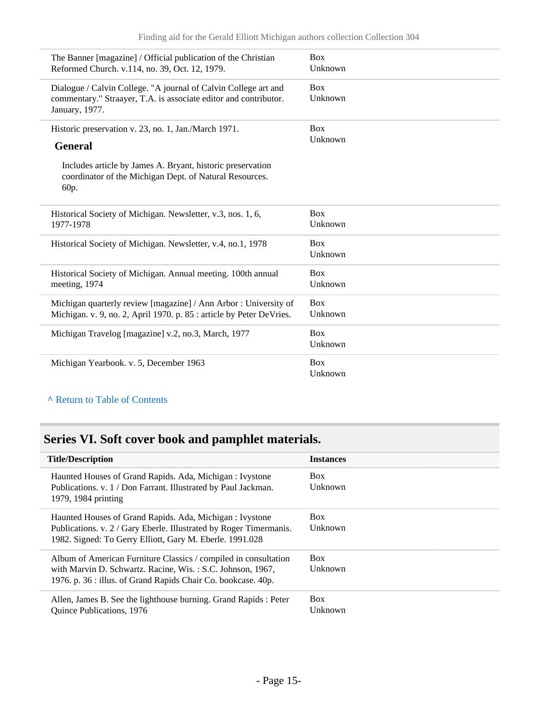| The Banner [magazine] / Official publication of the Christian                                                                                         | <b>Box</b>            |
|-------------------------------------------------------------------------------------------------------------------------------------------------------|-----------------------|
| Reformed Church. v.114, no. 39, Oct. 12, 1979.                                                                                                        | Unknown               |
| Dialogue / Calvin College. "A journal of Calvin College art and<br>commentary." Straayer, T.A. is associate editor and contributor.<br>January, 1977. | <b>Box</b><br>Unknown |
| Historic preservation v. 23, no. 1, Jan./March 1971.                                                                                                  | <b>Box</b>            |
| <b>General</b>                                                                                                                                        | Unknown               |
| Includes article by James A. Bryant, historic preservation<br>coordinator of the Michigan Dept. of Natural Resources.<br>60p.                         |                       |
| Historical Society of Michigan. Newsletter, v.3, nos. 1, 6,                                                                                           | <b>Box</b>            |
| 1977-1978                                                                                                                                             | Unknown               |
| Historical Society of Michigan. Newsletter, v.4, no.1, 1978                                                                                           | <b>Box</b><br>Unknown |
| Historical Society of Michigan. Annual meeting. 100th annual                                                                                          | <b>Box</b>            |
| meeting, 1974                                                                                                                                         | Unknown               |
| Michigan quarterly review [magazine] / Ann Arbor : University of                                                                                      | <b>Box</b>            |
| Michigan. v. 9, no. 2, April 1970. p. 85 : article by Peter DeVries.                                                                                  | Unknown               |
| Michigan Travelog [magazine] v.2, no.3, March, 1977                                                                                                   | <b>Box</b><br>Unknown |
| Michigan Yearbook. v. 5, December 1963                                                                                                                | <b>Box</b><br>Unknown |

### **^** [Return to Table of Contents](#page-1-0)

# <span id="page-14-0"></span>**Series VI. Soft cover book and pamphlet materials.**

| <b>Title/Description</b>                                                              | <b>Instances</b> |
|---------------------------------------------------------------------------------------|------------------|
| Haunted Houses of Grand Rapids. Ada, Michigan: Ivystone                               | <b>Box</b>       |
| Publications. v. 1 / Don Farrant. Illustrated by Paul Jackman.<br>1979, 1984 printing | Unknown          |
| Haunted Houses of Grand Rapids. Ada, Michigan: Ivystone                               | <b>Box</b>       |
| Publications. v. 2 / Gary Eberle. Illustrated by Roger Timermanis.                    | <b>Unknown</b>   |
| 1982. Signed: To Gerry Elliott, Gary M. Eberle. 1991.028                              |                  |
| Album of American Furniture Classics / compiled in consultation                       | <b>Box</b>       |
| with Marvin D. Schwartz. Racine, Wis.: S.C. Johnson, 1967,                            | Unknown          |
| 1976. p. 36 : illus. of Grand Rapids Chair Co. bookcase. 40p.                         |                  |
| Allen, James B. See the lighthouse burning. Grand Rapids: Peter                       | <b>Box</b>       |
| Quince Publications, 1976                                                             | Unknown          |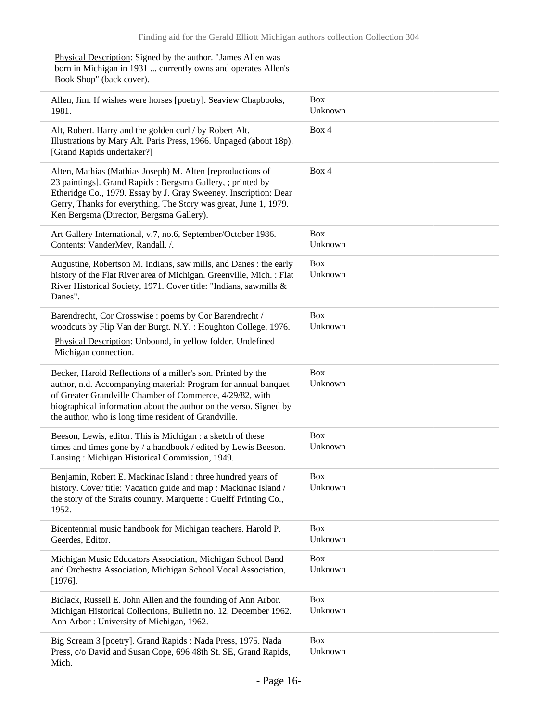Physical Description: Signed by the author. "James Allen was born in Michigan in 1931 ... currently owns and operates Allen's Book Shop" (back cover).

| Allen, Jim. If wishes were horses [poetry]. Seaview Chapbooks,<br>1981.                                                                                                                                                                                                                                                 | <b>Box</b><br>Unknown |
|-------------------------------------------------------------------------------------------------------------------------------------------------------------------------------------------------------------------------------------------------------------------------------------------------------------------------|-----------------------|
| Alt, Robert. Harry and the golden curl / by Robert Alt.<br>Illustrations by Mary Alt. Paris Press, 1966. Unpaged (about 18p).<br>[Grand Rapids undertaker?]                                                                                                                                                             | Box 4                 |
| Alten, Mathias (Mathias Joseph) M. Alten [reproductions of<br>23 paintings]. Grand Rapids: Bergsma Gallery, ; printed by<br>Etheridge Co., 1979. Essay by J. Gray Sweeney. Inscription: Dear<br>Gerry, Thanks for everything. The Story was great, June 1, 1979.<br>Ken Bergsma (Director, Bergsma Gallery).            | Box 4                 |
| Art Gallery International, v.7, no.6, September/October 1986.<br>Contents: VanderMey, Randall. /.                                                                                                                                                                                                                       | <b>Box</b><br>Unknown |
| Augustine, Robertson M. Indians, saw mills, and Danes: the early<br>history of the Flat River area of Michigan. Greenville, Mich. : Flat<br>River Historical Society, 1971. Cover title: "Indians, sawmills &<br>Danes".                                                                                                | <b>Box</b><br>Unknown |
| Barendrecht, Cor Crosswise : poems by Cor Barendrecht /<br>woodcuts by Flip Van der Burgt. N.Y. : Houghton College, 1976.<br>Physical Description: Unbound, in yellow folder. Undefined<br>Michigan connection.                                                                                                         | <b>Box</b><br>Unknown |
| Becker, Harold Reflections of a miller's son. Printed by the<br>author, n.d. Accompanying material: Program for annual banquet<br>of Greater Grandville Chamber of Commerce, 4/29/82, with<br>biographical information about the author on the verso. Signed by<br>the author, who is long time resident of Grandville. | <b>Box</b><br>Unknown |
| Beeson, Lewis, editor. This is Michigan : a sketch of these<br>times and times gone by / a handbook / edited by Lewis Beeson.<br>Lansing: Michigan Historical Commission, 1949.                                                                                                                                         | <b>Box</b><br>Unknown |
| Benjamin, Robert E. Mackinac Island : three hundred years of<br>history. Cover title: Vacation guide and map : Mackinac Island /<br>the story of the Straits country. Marquette : Guelff Printing Co.<br>1952.                                                                                                          | <b>Box</b><br>Unknown |
| Bicentennial music handbook for Michigan teachers. Harold P.<br>Geerdes, Editor.                                                                                                                                                                                                                                        | <b>Box</b><br>Unknown |
| Michigan Music Educators Association, Michigan School Band<br>and Orchestra Association, Michigan School Vocal Association,<br>$[1976]$ .                                                                                                                                                                               | <b>Box</b><br>Unknown |
| Bidlack, Russell E. John Allen and the founding of Ann Arbor.<br>Michigan Historical Collections, Bulletin no. 12, December 1962.<br>Ann Arbor: University of Michigan, 1962.                                                                                                                                           | <b>Box</b><br>Unknown |
| Big Scream 3 [poetry]. Grand Rapids: Nada Press, 1975. Nada<br>Press, c/o David and Susan Cope, 696 48th St. SE, Grand Rapids,<br>Mich.                                                                                                                                                                                 | <b>Box</b><br>Unknown |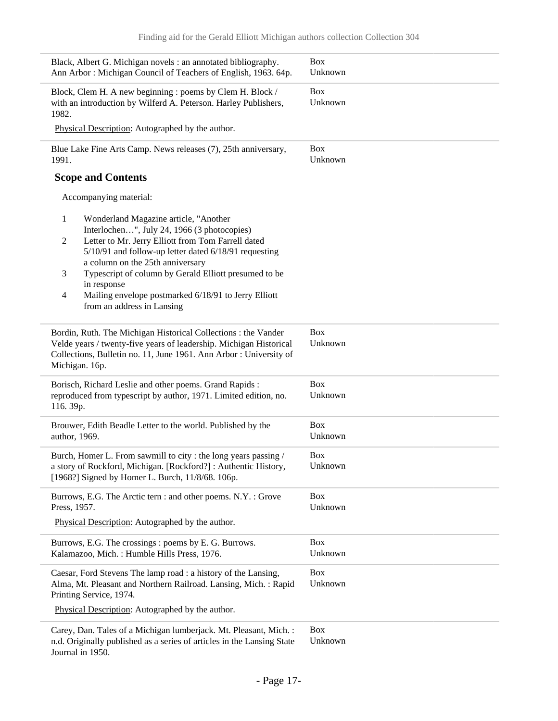| Black, Albert G. Michigan novels : an annotated bibliography.<br>Ann Arbor: Michigan Council of Teachers of English, 1963. 64p.                                                                                              | <b>Box</b><br>Unknown |
|------------------------------------------------------------------------------------------------------------------------------------------------------------------------------------------------------------------------------|-----------------------|
| Block, Clem H. A new beginning : poems by Clem H. Block /<br>with an introduction by Wilferd A. Peterson. Harley Publishers,<br>1982.                                                                                        | <b>Box</b><br>Unknown |
| Physical Description: Autographed by the author.                                                                                                                                                                             |                       |
| Blue Lake Fine Arts Camp. News releases (7), 25th anniversary,<br>1991.                                                                                                                                                      | <b>Box</b><br>Unknown |
| <b>Scope and Contents</b>                                                                                                                                                                                                    |                       |
| Accompanying material:                                                                                                                                                                                                       |                       |
| 1<br>Wonderland Magazine article, "Another<br>Interlochen", July 24, 1966 (3 photocopies)<br>Letter to Mr. Jerry Elliott from Tom Farrell dated<br>$\overline{c}$                                                            |                       |
| 5/10/91 and follow-up letter dated 6/18/91 requesting<br>a column on the 25th anniversary                                                                                                                                    |                       |
| Typescript of column by Gerald Elliott presumed to be<br>3<br>in response                                                                                                                                                    |                       |
| Mailing envelope postmarked 6/18/91 to Jerry Elliott<br>4<br>from an address in Lansing                                                                                                                                      |                       |
| Bordin, Ruth. The Michigan Historical Collections : the Vander<br>Velde years / twenty-five years of leadership. Michigan Historical<br>Collections, Bulletin no. 11, June 1961. Ann Arbor : University of<br>Michigan. 16p. | Box<br>Unknown        |
| Borisch, Richard Leslie and other poems. Grand Rapids :<br>reproduced from typescript by author, 1971. Limited edition, no.<br>116.39p.                                                                                      | <b>Box</b><br>Unknown |
| Brouwer, Edith Beadle Letter to the world. Published by the<br>author, 1969.                                                                                                                                                 | <b>Box</b><br>Unknown |
| Burch, Homer L. From sawmill to city : the long years passing /<br>a story of Rockford, Michigan. [Rockford?]: Authentic History,                                                                                            | Box<br>Unknown        |
| [1968?] Signed by Homer L. Burch, 11/8/68. 106p.                                                                                                                                                                             |                       |
| Burrows, E.G. The Arctic tern : and other poems. N.Y. : Grove<br>Press, 1957.                                                                                                                                                | <b>Box</b><br>Unknown |
| Physical Description: Autographed by the author.                                                                                                                                                                             |                       |
| Burrows, E.G. The crossings : poems by E.G. Burrows.<br>Kalamazoo, Mich.: Humble Hills Press, 1976.                                                                                                                          | <b>Box</b><br>Unknown |
| Caesar, Ford Stevens The lamp road : a history of the Lansing,<br>Alma, Mt. Pleasant and Northern Railroad. Lansing, Mich.: Rapid<br>Printing Service, 1974.                                                                 | <b>Box</b><br>Unknown |
| Physical Description: Autographed by the author.                                                                                                                                                                             |                       |
| Carey, Dan. Tales of a Michigan lumberjack. Mt. Pleasant, Mich. :<br>n.d. Originally published as a series of articles in the Lansing State<br>Journal in 1950.                                                              | <b>Box</b><br>Unknown |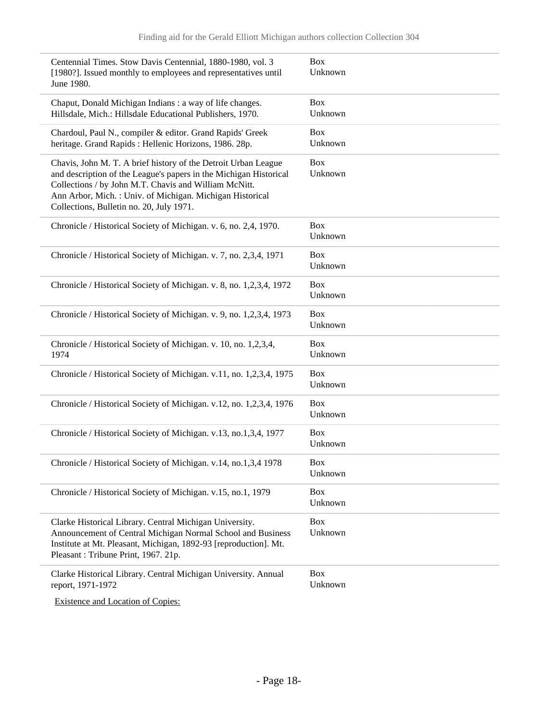| Centennial Times. Stow Davis Centennial, 1880-1980, vol. 3<br>[1980?]. Issued monthly to employees and representatives until<br>June 1980.                                                                                                                                                           | <b>Box</b><br>Unknown |
|------------------------------------------------------------------------------------------------------------------------------------------------------------------------------------------------------------------------------------------------------------------------------------------------------|-----------------------|
| Chaput, Donald Michigan Indians: a way of life changes.<br>Hillsdale, Mich.: Hillsdale Educational Publishers, 1970.                                                                                                                                                                                 | <b>Box</b><br>Unknown |
| Chardoul, Paul N., compiler & editor. Grand Rapids' Greek<br>heritage. Grand Rapids: Hellenic Horizons, 1986. 28p.                                                                                                                                                                                   | <b>Box</b><br>Unknown |
| Chavis, John M. T. A brief history of the Detroit Urban League<br>and description of the League's papers in the Michigan Historical<br>Collections / by John M.T. Chavis and William McNitt.<br>Ann Arbor, Mich.: Univ. of Michigan. Michigan Historical<br>Collections, Bulletin no. 20, July 1971. | <b>Box</b><br>Unknown |
| Chronicle / Historical Society of Michigan. v. 6, no. 2,4, 1970.                                                                                                                                                                                                                                     | <b>Box</b><br>Unknown |
| Chronicle / Historical Society of Michigan. v. 7, no. 2,3,4, 1971                                                                                                                                                                                                                                    | <b>Box</b><br>Unknown |
| Chronicle / Historical Society of Michigan. v. 8, no. 1,2,3,4, 1972                                                                                                                                                                                                                                  | <b>Box</b><br>Unknown |
| Chronicle / Historical Society of Michigan. v. 9, no. 1,2,3,4, 1973                                                                                                                                                                                                                                  | <b>Box</b><br>Unknown |
| Chronicle / Historical Society of Michigan. v. 10, no. 1,2,3,4,<br>1974                                                                                                                                                                                                                              | <b>Box</b><br>Unknown |
| Chronicle / Historical Society of Michigan. v.11, no. 1,2,3,4, 1975                                                                                                                                                                                                                                  | <b>Box</b><br>Unknown |
| Chronicle / Historical Society of Michigan. v.12, no. 1,2,3,4, 1976                                                                                                                                                                                                                                  | <b>Box</b><br>Unknown |
| Chronicle / Historical Society of Michigan. v.13, no.1,3,4, 1977                                                                                                                                                                                                                                     | <b>Box</b><br>Unknown |
| Chronicle / Historical Society of Michigan. v.14, no.1,3,4 1978                                                                                                                                                                                                                                      | <b>Box</b><br>Unknown |
| Chronicle / Historical Society of Michigan. v.15, no.1, 1979                                                                                                                                                                                                                                         | <b>Box</b><br>Unknown |
| Clarke Historical Library. Central Michigan University.<br>Announcement of Central Michigan Normal School and Business<br>Institute at Mt. Pleasant, Michigan, 1892-93 [reproduction]. Mt.<br>Pleasant: Tribune Print, 1967. 21p.                                                                    | <b>Box</b><br>Unknown |
| Clarke Historical Library. Central Michigan University. Annual<br>report, 1971-1972                                                                                                                                                                                                                  | <b>Box</b><br>Unknown |
|                                                                                                                                                                                                                                                                                                      |                       |

Existence and Location of Copies: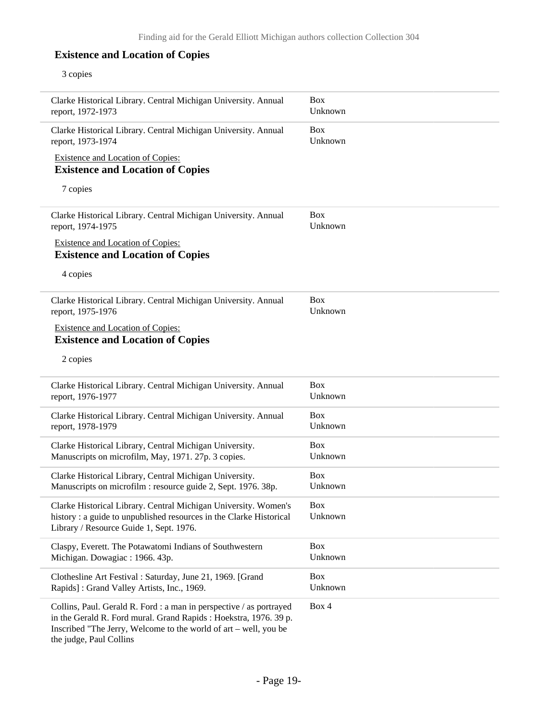### **Existence and Location of Copies**

#### 3 copies

÷

 $\overline{\phantom{a}}$ 

 $\overline{\phantom{0}}$ 

 $\overline{\phantom{0}}$ 

÷

| Clarke Historical Library. Central Michigan University. Annual<br>report, 1972-1973                                                                                                                                                     | <b>Box</b><br>Unknown |
|-----------------------------------------------------------------------------------------------------------------------------------------------------------------------------------------------------------------------------------------|-----------------------|
| Clarke Historical Library. Central Michigan University. Annual<br>report, 1973-1974                                                                                                                                                     | <b>Box</b><br>Unknown |
| Existence and Location of Copies:                                                                                                                                                                                                       |                       |
| <b>Existence and Location of Copies</b>                                                                                                                                                                                                 |                       |
| 7 copies                                                                                                                                                                                                                                |                       |
| Clarke Historical Library. Central Michigan University. Annual<br>report, 1974-1975                                                                                                                                                     | <b>Box</b><br>Unknown |
| <b>Existence and Location of Copies:</b><br><b>Existence and Location of Copies</b>                                                                                                                                                     |                       |
| 4 copies                                                                                                                                                                                                                                |                       |
| Clarke Historical Library. Central Michigan University. Annual<br>report, 1975-1976                                                                                                                                                     | <b>Box</b><br>Unknown |
| <b>Existence and Location of Copies:</b><br><b>Existence and Location of Copies</b>                                                                                                                                                     |                       |
| 2 copies                                                                                                                                                                                                                                |                       |
| Clarke Historical Library. Central Michigan University. Annual<br>report, 1976-1977                                                                                                                                                     | <b>Box</b><br>Unknown |
| Clarke Historical Library. Central Michigan University. Annual<br>report, 1978-1979                                                                                                                                                     | <b>Box</b><br>Unknown |
| Clarke Historical Library, Central Michigan University.<br>Manuscripts on microfilm, May, 1971. 27p. 3 copies.                                                                                                                          | <b>Box</b><br>Unknown |
| Clarke Historical Library, Central Michigan University.<br>Manuscripts on microfilm : resource guide 2, Sept. 1976. 38p.                                                                                                                | <b>Box</b><br>Unknown |
| Clarke Historical Library. Central Michigan University. Women's<br>history: a guide to unpublished resources in the Clarke Historical<br>Library / Resource Guide 1, Sept. 1976.                                                        | Box<br>Unknown        |
|                                                                                                                                                                                                                                         |                       |
| Claspy, Everett. The Potawatomi Indians of Southwestern<br>Michigan. Dowagiac: 1966. 43p.                                                                                                                                               | <b>Box</b><br>Unknown |
| Clothesline Art Festival : Saturday, June 21, 1969. [Grand<br>Rapids]: Grand Valley Artists, Inc., 1969.                                                                                                                                | <b>Box</b><br>Unknown |
| Collins, Paul. Gerald R. Ford : a man in perspective / as portrayed<br>in the Gerald R. Ford mural. Grand Rapids : Hoekstra, 1976. 39 p.<br>Inscribed "The Jerry, Welcome to the world of art – well, you be<br>the judge, Paul Collins | Box 4                 |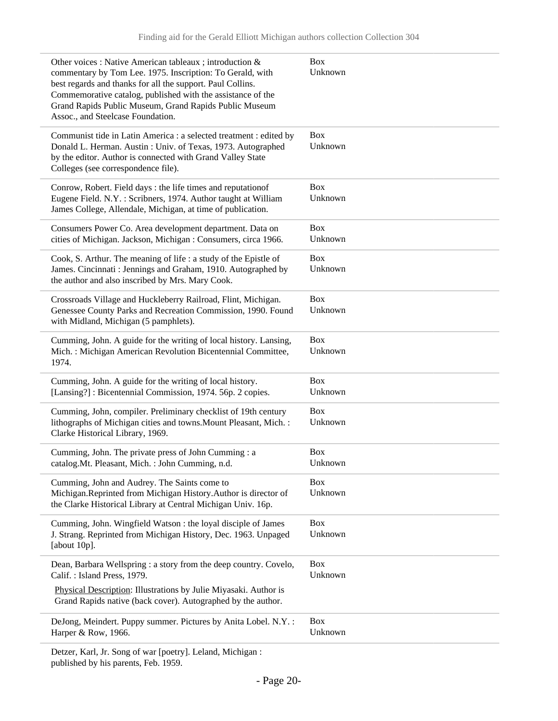| Other voices : Native American tableaux ; introduction &<br>commentary by Tom Lee. 1975. Inscription: To Gerald, with<br>best regards and thanks for all the support. Paul Collins.<br>Commemorative catalog, published with the assistance of the<br>Grand Rapids Public Museum, Grand Rapids Public Museum<br>Assoc., and Steelcase Foundation. | <b>Box</b><br>Unknown |
|---------------------------------------------------------------------------------------------------------------------------------------------------------------------------------------------------------------------------------------------------------------------------------------------------------------------------------------------------|-----------------------|
| Communist tide in Latin America : a selected treatment : edited by<br>Donald L. Herman. Austin: Univ. of Texas, 1973. Autographed<br>by the editor. Author is connected with Grand Valley State<br>Colleges (see correspondence file).                                                                                                            | <b>Box</b><br>Unknown |
| Conrow, Robert. Field days : the life times and reputation of<br>Eugene Field. N.Y.: Scribners, 1974. Author taught at William<br>James College, Allendale, Michigan, at time of publication.                                                                                                                                                     | <b>Box</b><br>Unknown |
| Consumers Power Co. Area development department. Data on<br>cities of Michigan. Jackson, Michigan : Consumers, circa 1966.                                                                                                                                                                                                                        | <b>Box</b><br>Unknown |
| Cook, S. Arthur. The meaning of life : a study of the Epistle of<br>James. Cincinnati: Jennings and Graham, 1910. Autographed by<br>the author and also inscribed by Mrs. Mary Cook.                                                                                                                                                              | <b>Box</b><br>Unknown |
| Crossroads Village and Huckleberry Railroad, Flint, Michigan.<br>Genessee County Parks and Recreation Commission, 1990. Found<br>with Midland, Michigan (5 pamphlets).                                                                                                                                                                            | <b>Box</b><br>Unknown |
| Cumming, John. A guide for the writing of local history. Lansing,<br>Mich.: Michigan American Revolution Bicentennial Committee,<br>1974.                                                                                                                                                                                                         | <b>Box</b><br>Unknown |
| Cumming, John. A guide for the writing of local history.<br>[Lansing?]: Bicentennial Commission, 1974. 56p. 2 copies.                                                                                                                                                                                                                             | <b>Box</b><br>Unknown |
| Cumming, John, compiler. Preliminary checklist of 19th century<br>lithographs of Michigan cities and towns. Mount Pleasant, Mich.:<br>Clarke Historical Library, 1969.                                                                                                                                                                            | <b>Box</b><br>Unknown |
| Cumming, John. The private press of John Cumming : a<br>catalog. Mt. Pleasant, Mich.: John Cumming, n.d.                                                                                                                                                                                                                                          | <b>Box</b><br>Unknown |
| Cumming, John and Audrey. The Saints come to<br>Michigan.Reprinted from Michigan History.Author is director of<br>the Clarke Historical Library at Central Michigan Univ. 16p.                                                                                                                                                                    | <b>Box</b><br>Unknown |
| Cumming, John. Wingfield Watson : the loyal disciple of James<br>J. Strang. Reprinted from Michigan History, Dec. 1963. Unpaged<br>[about $10p$ ].                                                                                                                                                                                                | <b>Box</b><br>Unknown |
| Dean, Barbara Wellspring : a story from the deep country. Covelo,<br>Calif.: Island Press, 1979.                                                                                                                                                                                                                                                  | <b>Box</b><br>Unknown |
| Physical Description: Illustrations by Julie Miyasaki. Author is<br>Grand Rapids native (back cover). Autographed by the author.                                                                                                                                                                                                                  |                       |
| DeJong, Meindert. Puppy summer. Pictures by Anita Lobel. N.Y. :<br>Harper & Row, 1966.                                                                                                                                                                                                                                                            | <b>Box</b><br>Unknown |
| Detzer, Karl, Jr. Song of war [poetry]. Leland, Michigan :                                                                                                                                                                                                                                                                                        |                       |

published by his parents, Feb. 1959.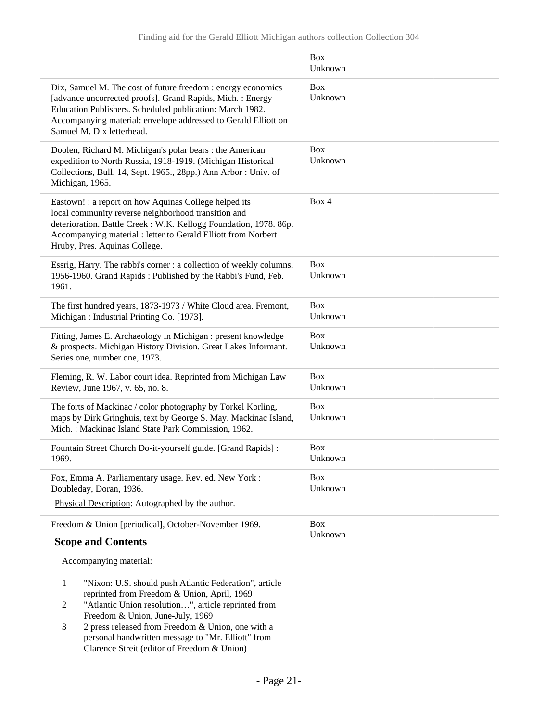|                                                                                                                                                                                                                                                                                       | <b>Box</b><br>Unknown |
|---------------------------------------------------------------------------------------------------------------------------------------------------------------------------------------------------------------------------------------------------------------------------------------|-----------------------|
| Dix, Samuel M. The cost of future freedom : energy economics<br>[advance uncorrected proofs]. Grand Rapids, Mich. : Energy<br>Education Publishers. Scheduled publication: March 1982.<br>Accompanying material: envelope addressed to Gerald Elliott on<br>Samuel M. Dix letterhead. | <b>Box</b><br>Unknown |
| Doolen, Richard M. Michigan's polar bears : the American<br>expedition to North Russia, 1918-1919. (Michigan Historical<br>Collections, Bull. 14, Sept. 1965., 28pp.) Ann Arbor: Univ. of<br>Michigan, 1965.                                                                          | <b>Box</b><br>Unknown |
| Eastown! : a report on how Aquinas College helped its<br>local community reverse neighborhood transition and<br>deterioration. Battle Creek: W.K. Kellogg Foundation, 1978. 86p.<br>Accompanying material : letter to Gerald Elliott from Norbert<br>Hruby, Pres. Aquinas College.    | Box 4                 |
| Essrig, Harry. The rabbi's corner : a collection of weekly columns,<br>1956-1960. Grand Rapids: Published by the Rabbi's Fund, Feb.<br>1961.                                                                                                                                          | <b>Box</b><br>Unknown |
| The first hundred years, 1873-1973 / White Cloud area. Fremont,<br>Michigan: Industrial Printing Co. [1973].                                                                                                                                                                          | <b>Box</b><br>Unknown |
| Fitting, James E. Archaeology in Michigan : present knowledge<br>& prospects. Michigan History Division. Great Lakes Informant.<br>Series one, number one, 1973.                                                                                                                      | <b>Box</b><br>Unknown |
| Fleming, R. W. Labor court idea. Reprinted from Michigan Law<br>Review, June 1967, v. 65, no. 8.                                                                                                                                                                                      | <b>Box</b><br>Unknown |
| The forts of Mackinac / color photography by Torkel Korling,<br>maps by Dirk Gringhuis, text by George S. May. Mackinac Island,<br>Mich.: Mackinac Island State Park Commission, 1962.                                                                                                | <b>Box</b><br>Unknown |
| Fountain Street Church Do-it-yourself guide. [Grand Rapids] :<br>1969.                                                                                                                                                                                                                | <b>Box</b><br>Unknown |
| Fox, Emma A. Parliamentary usage. Rev. ed. New York:<br>Doubleday, Doran, 1936.                                                                                                                                                                                                       | <b>Box</b><br>Unknown |
| Physical Description: Autographed by the author.                                                                                                                                                                                                                                      |                       |
| Freedom & Union [periodical], October-November 1969.                                                                                                                                                                                                                                  | <b>Box</b>            |
| <b>Scope and Contents</b>                                                                                                                                                                                                                                                             | Unknown               |
| Accompanying material:                                                                                                                                                                                                                                                                |                       |
| $\mathbf{1}$<br>"Nixon: U.S. should push Atlantic Federation", article<br>reprinted from Freedom & Union, April, 1969                                                                                                                                                                 |                       |

- 2 "Atlantic Union resolution…", article reprinted from Freedom & Union, June-July, 1969
- 3 2 press released from Freedom & Union, one with a personal handwritten message to "Mr. Elliott" from Clarence Streit (editor of Freedom & Union)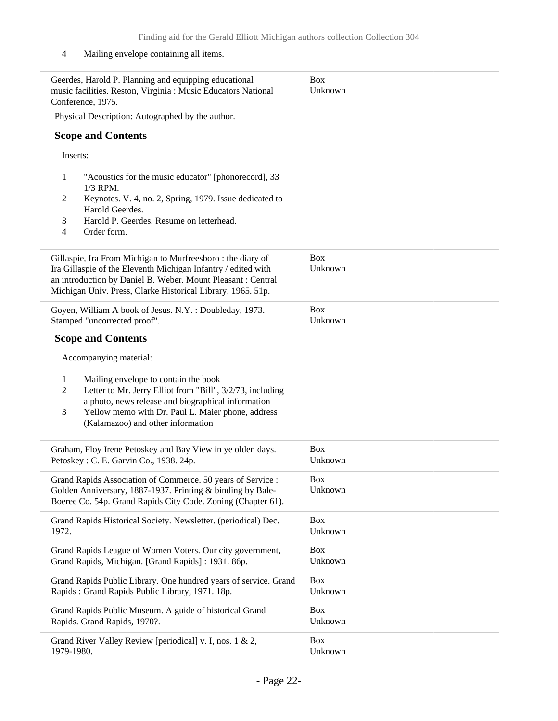#### 4 Mailing envelope containing all items.

| Geerdes, Harold P. Planning and equipping educational<br>music facilities. Reston, Virginia : Music Educators National<br>Conference, 1975.                                                                                                                                              | <b>Box</b><br>Unknown |
|------------------------------------------------------------------------------------------------------------------------------------------------------------------------------------------------------------------------------------------------------------------------------------------|-----------------------|
| Physical Description: Autographed by the author.                                                                                                                                                                                                                                         |                       |
| <b>Scope and Contents</b>                                                                                                                                                                                                                                                                |                       |
| Inserts:                                                                                                                                                                                                                                                                                 |                       |
| "Acoustics for the music educator" [phonorecord], 33<br>1<br>1/3 RPM.                                                                                                                                                                                                                    |                       |
| Keynotes. V. 4, no. 2, Spring, 1979. Issue dedicated to<br>2<br>Harold Geerdes.                                                                                                                                                                                                          |                       |
| Harold P. Geerdes. Resume on letterhead.<br>3<br>$\overline{4}$<br>Order form.                                                                                                                                                                                                           |                       |
| Gillaspie, Ira From Michigan to Murfreesboro: the diary of<br>Ira Gillaspie of the Eleventh Michigan Infantry / edited with<br>an introduction by Daniel B. Weber. Mount Pleasant : Central<br>Michigan Univ. Press, Clarke Historical Library, 1965. 51p.                               | <b>Box</b><br>Unknown |
| Goyen, William A book of Jesus. N.Y.: Doubleday, 1973.<br>Stamped "uncorrected proof".                                                                                                                                                                                                   | <b>Box</b><br>Unknown |
| <b>Scope and Contents</b>                                                                                                                                                                                                                                                                |                       |
| Accompanying material:                                                                                                                                                                                                                                                                   |                       |
| $\mathbf{1}$<br>Mailing envelope to contain the book<br>$\overline{2}$<br>Letter to Mr. Jerry Elliot from "Bill", 3/2/73, including<br>a photo, news release and biographical information<br>Yellow memo with Dr. Paul L. Maier phone, address<br>3<br>(Kalamazoo) and other information |                       |
| Graham, Floy Irene Petoskey and Bay View in ye olden days.<br>Petoskey: C. E. Garvin Co., 1938. 24p.                                                                                                                                                                                     | <b>Box</b><br>Unknown |
| Grand Rapids Association of Commerce. 50 years of Service :<br>Golden Anniversary, 1887-1937. Printing & binding by Bale-<br>Boeree Co. 54p. Grand Rapids City Code. Zoning (Chapter 61).                                                                                                | Box<br>Unknown        |
| Grand Rapids Historical Society. Newsletter. (periodical) Dec.<br>1972.                                                                                                                                                                                                                  | <b>Box</b><br>Unknown |
| Grand Rapids League of Women Voters. Our city government,<br>Grand Rapids, Michigan. [Grand Rapids]: 1931. 86p.                                                                                                                                                                          | <b>Box</b><br>Unknown |
| Grand Rapids Public Library. One hundred years of service. Grand<br>Rapids: Grand Rapids Public Library, 1971. 18p.                                                                                                                                                                      | <b>Box</b><br>Unknown |
| Grand Rapids Public Museum. A guide of historical Grand<br>Rapids. Grand Rapids, 1970?.                                                                                                                                                                                                  | <b>Box</b><br>Unknown |
| Grand River Valley Review [periodical] v. I, nos. 1 & 2,<br>1979-1980.                                                                                                                                                                                                                   | <b>Box</b><br>Unknown |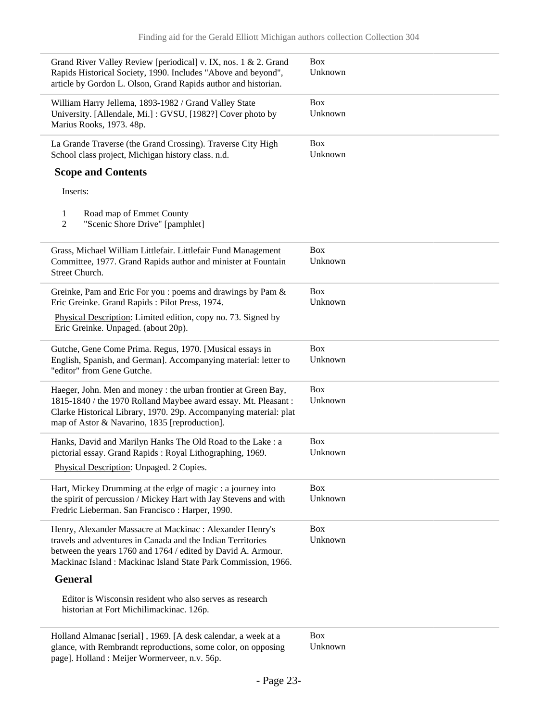| Grand River Valley Review [periodical] v. IX, nos. 1 & 2. Grand<br>Rapids Historical Society, 1990. Includes "Above and beyond",<br>article by Gordon L. Olson, Grand Rapids author and historian.                                                        | <b>Box</b><br>Unknown |
|-----------------------------------------------------------------------------------------------------------------------------------------------------------------------------------------------------------------------------------------------------------|-----------------------|
| William Harry Jellema, 1893-1982 / Grand Valley State<br>University. [Allendale, Mi.]: GVSU, [1982?] Cover photo by<br>Marius Rooks, 1973. 48p.                                                                                                           | <b>Box</b><br>Unknown |
| La Grande Traverse (the Grand Crossing). Traverse City High<br>School class project, Michigan history class. n.d.                                                                                                                                         | <b>Box</b><br>Unknown |
| <b>Scope and Contents</b>                                                                                                                                                                                                                                 |                       |
| Inserts:                                                                                                                                                                                                                                                  |                       |
| 1<br>Road map of Emmet County<br>$\overline{2}$<br>"Scenic Shore Drive" [pamphlet]                                                                                                                                                                        |                       |
| Grass, Michael William Littlefair. Littlefair Fund Management<br>Committee, 1977. Grand Rapids author and minister at Fountain<br>Street Church.                                                                                                          | <b>Box</b><br>Unknown |
| Greinke, Pam and Eric For you : poems and drawings by Pam &<br>Eric Greinke. Grand Rapids: Pilot Press, 1974.                                                                                                                                             | <b>Box</b><br>Unknown |
| Physical Description: Limited edition, copy no. 73. Signed by<br>Eric Greinke. Unpaged. (about 20p).                                                                                                                                                      |                       |
| Gutche, Gene Come Prima. Regus, 1970. [Musical essays in<br>English, Spanish, and German]. Accompanying material: letter to<br>"editor" from Gene Gutche.                                                                                                 | <b>Box</b><br>Unknown |
| Haeger, John. Men and money : the urban frontier at Green Bay,<br>1815-1840 / the 1970 Rolland Maybee award essay. Mt. Pleasant:<br>Clarke Historical Library, 1970. 29p. Accompanying material: plat<br>map of Astor & Navarino, 1835 [reproduction].    | <b>Box</b><br>Unknown |
| Hanks, David and Marilyn Hanks The Old Road to the Lake : a<br>pictorial essay. Grand Rapids: Royal Lithographing, 1969.<br>Physical Description: Unpaged. 2 Copies.                                                                                      | <b>Box</b><br>Unknown |
| Hart, Mickey Drumming at the edge of magic : a journey into<br>the spirit of percussion / Mickey Hart with Jay Stevens and with<br>Fredric Lieberman. San Francisco: Harper, 1990.                                                                        | <b>Box</b><br>Unknown |
| Henry, Alexander Massacre at Mackinac : Alexander Henry's<br>travels and adventures in Canada and the Indian Territories<br>between the years 1760 and 1764 / edited by David A. Armour.<br>Mackinac Island: Mackinac Island State Park Commission, 1966. | <b>Box</b><br>Unknown |
| <b>General</b>                                                                                                                                                                                                                                            |                       |
| Editor is Wisconsin resident who also serves as research<br>historian at Fort Michilimackinac. 126p.                                                                                                                                                      |                       |
| Holland Almanac [serial], 1969. [A desk calendar, a week at a<br>glance, with Rembrandt reproductions, some color, on opposing                                                                                                                            | <b>Box</b><br>Unknown |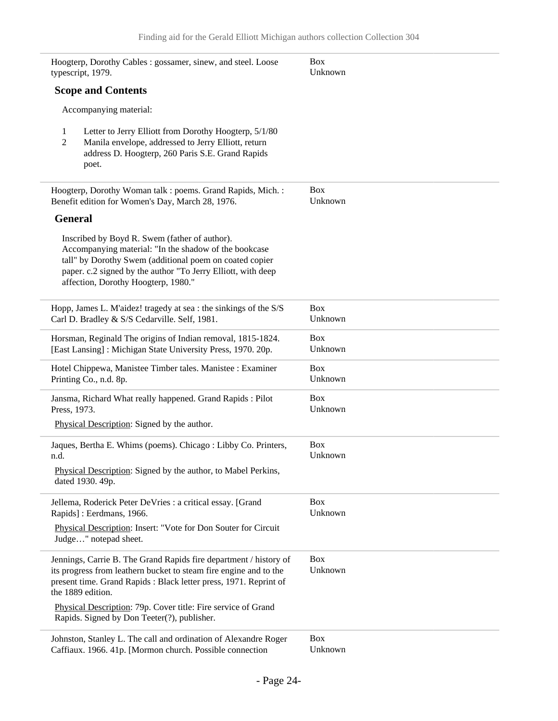| Hoogterp, Dorothy Cables : gossamer, sinew, and steel. Loose<br>typescript, 1979.                                                                                                                                                                                        | <b>Box</b><br>Unknown |
|--------------------------------------------------------------------------------------------------------------------------------------------------------------------------------------------------------------------------------------------------------------------------|-----------------------|
| <b>Scope and Contents</b>                                                                                                                                                                                                                                                |                       |
| Accompanying material:                                                                                                                                                                                                                                                   |                       |
| Letter to Jerry Elliott from Dorothy Hoogterp, 5/1/80<br>1<br>Manila envelope, addressed to Jerry Elliott, return<br>2<br>address D. Hoogterp, 260 Paris S.E. Grand Rapids<br>poet.                                                                                      |                       |
| Hoogterp, Dorothy Woman talk : poems. Grand Rapids, Mich. :<br>Benefit edition for Women's Day, March 28, 1976.                                                                                                                                                          | <b>Box</b><br>Unknown |
| <b>General</b>                                                                                                                                                                                                                                                           |                       |
| Inscribed by Boyd R. Swem (father of author).<br>Accompanying material: "In the shadow of the bookcase<br>tall" by Dorothy Swem (additional poem on coated copier<br>paper. c.2 signed by the author "To Jerry Elliott, with deep<br>affection, Dorothy Hoogterp, 1980." |                       |
| Hopp, James L. M'aidez! tragedy at sea : the sinkings of the S/S<br>Carl D. Bradley & S/S Cedarville. Self, 1981.                                                                                                                                                        | <b>Box</b><br>Unknown |
| Horsman, Reginald The origins of Indian removal, 1815-1824.<br>[East Lansing]: Michigan State University Press, 1970. 20p.                                                                                                                                               | <b>Box</b><br>Unknown |
| Hotel Chippewa, Manistee Timber tales. Manistee : Examiner<br>Printing Co., n.d. 8p.                                                                                                                                                                                     | <b>Box</b><br>Unknown |
| Jansma, Richard What really happened. Grand Rapids : Pilot<br>Press, 1973.                                                                                                                                                                                               | <b>Box</b><br>Unknown |
| Physical Description: Signed by the author.                                                                                                                                                                                                                              |                       |
| Jaques, Bertha E. Whims (poems). Chicago: Libby Co. Printers,<br>n.d.                                                                                                                                                                                                    | <b>Box</b><br>Unknown |
| Physical Description: Signed by the author, to Mabel Perkins,<br>dated 1930. 49p.                                                                                                                                                                                        |                       |
| Jellema, Roderick Peter DeVries : a critical essay. [Grand]<br>Rapids]: Eerdmans, 1966.                                                                                                                                                                                  | <b>Box</b><br>Unknown |
| Physical Description: Insert: "Vote for Don Souter for Circuit<br>Judge" notepad sheet.                                                                                                                                                                                  |                       |
| Jennings, Carrie B. The Grand Rapids fire department / history of<br>its progress from leathern bucket to steam fire engine and to the<br>present time. Grand Rapids: Black letter press, 1971. Reprint of<br>the 1889 edition.                                          | <b>Box</b><br>Unknown |
| Physical Description: 79p. Cover title: Fire service of Grand<br>Rapids. Signed by Don Teeter(?), publisher.                                                                                                                                                             |                       |
| Johnston, Stanley L. The call and ordination of Alexandre Roger<br>Caffiaux. 1966. 41p. [Mormon church. Possible connection                                                                                                                                              | <b>Box</b><br>Unknown |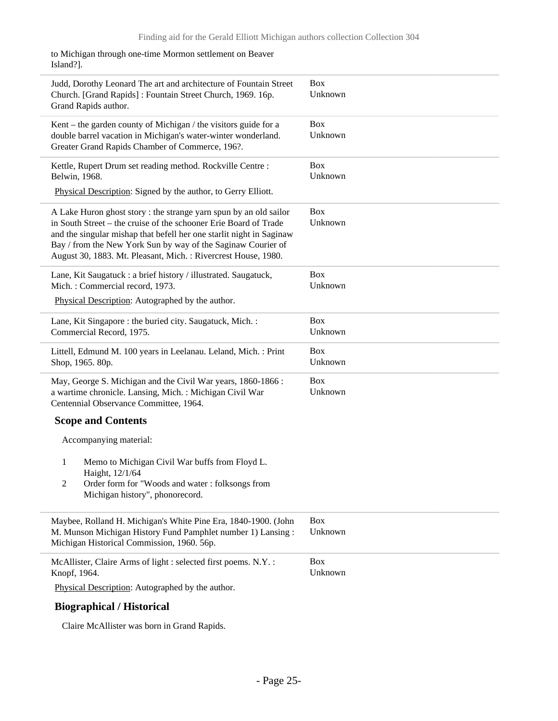to Michigan through one-time Mormon settlement on Beaver Island?].

| Judd, Dorothy Leonard The art and architecture of Fountain Street<br>Church. [Grand Rapids]: Fountain Street Church, 1969. 16p.<br>Grand Rapids author.                                                                                                                                                                                        | <b>Box</b><br>Unknown |
|------------------------------------------------------------------------------------------------------------------------------------------------------------------------------------------------------------------------------------------------------------------------------------------------------------------------------------------------|-----------------------|
| Kent – the garden county of Michigan / the visitors guide for a<br>double barrel vacation in Michigan's water-winter wonderland.<br>Greater Grand Rapids Chamber of Commerce, 196?.                                                                                                                                                            | <b>Box</b><br>Unknown |
| Kettle, Rupert Drum set reading method. Rockville Centre :<br>Belwin, 1968.                                                                                                                                                                                                                                                                    | <b>Box</b><br>Unknown |
| Physical Description: Signed by the author, to Gerry Elliott.                                                                                                                                                                                                                                                                                  |                       |
| A Lake Huron ghost story : the strange yarn spun by an old sailor<br>in South Street – the cruise of the schooner Erie Board of Trade<br>and the singular mishap that befell her one starlit night in Saginaw<br>Bay / from the New York Sun by way of the Saginaw Courier of<br>August 30, 1883. Mt. Pleasant, Mich.: Rivercrest House, 1980. | <b>Box</b><br>Unknown |
| Lane, Kit Saugatuck : a brief history / illustrated. Saugatuck,<br>Mich.: Commercial record, 1973.<br>Physical Description: Autographed by the author.                                                                                                                                                                                         | <b>Box</b><br>Unknown |
| Lane, Kit Singapore : the buried city. Saugatuck, Mich. :<br>Commercial Record, 1975.                                                                                                                                                                                                                                                          | <b>Box</b><br>Unknown |
| Littell, Edmund M. 100 years in Leelanau. Leland, Mich. : Print<br>Shop, 1965. 80p.                                                                                                                                                                                                                                                            | <b>Box</b><br>Unknown |
| May, George S. Michigan and the Civil War years, 1860-1866 :<br>a wartime chronicle. Lansing, Mich.: Michigan Civil War<br>Centennial Observance Committee, 1964.                                                                                                                                                                              | <b>Box</b><br>Unknown |
| <b>Scope and Contents</b>                                                                                                                                                                                                                                                                                                                      |                       |
| Accompanying material:                                                                                                                                                                                                                                                                                                                         |                       |
| 1<br>Memo to Michigan Civil War buffs from Floyd L.<br>Haight, 12/1/64                                                                                                                                                                                                                                                                         |                       |
| 2<br>Order form for "Woods and water: folksongs from<br>Michigan history", phonorecord.                                                                                                                                                                                                                                                        |                       |
| Maybee, Rolland H. Michigan's White Pine Era, 1840-1900. (John<br>M. Munson Michigan History Fund Pamphlet number 1) Lansing:<br>Michigan Historical Commission, 1960. 56p.                                                                                                                                                                    | <b>Box</b><br>Unknown |
| McAllister, Claire Arms of light : selected first poems. N.Y. :<br>Knopf, 1964.                                                                                                                                                                                                                                                                | <b>Box</b><br>Unknown |
| Physical Description: Autographed by the author.                                                                                                                                                                                                                                                                                               |                       |
| <b>Biographical / Historical</b>                                                                                                                                                                                                                                                                                                               |                       |

Claire McAllister was born in Grand Rapids.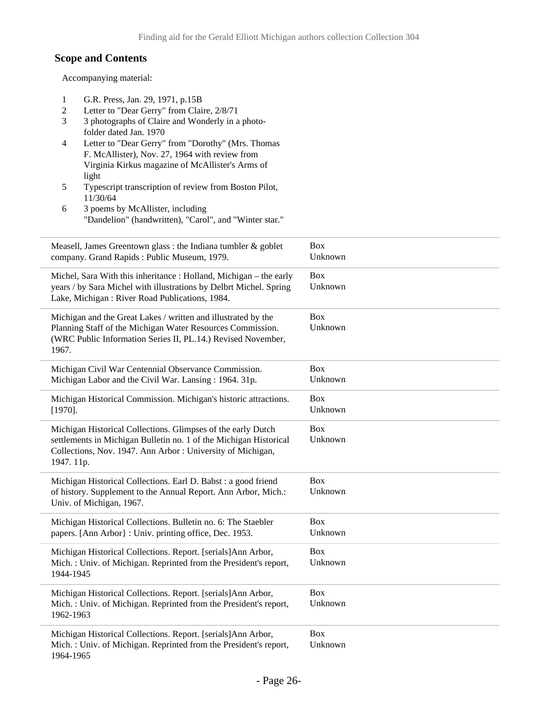### **Scope and Contents**

 $\overline{\phantom{0}}$ 

L

 $\overline{\phantom{0}}$ 

L

Accompanying material:

| G.R. Press, Jan. 29, 1971, p.15B<br>1<br>Letter to "Dear Gerry" from Claire, 2/8/71<br>2<br>3<br>3 photographs of Claire and Wonderly in a photo-<br>folder dated Jan. 1970<br>Letter to "Dear Gerry" from "Dorothy" (Mrs. Thomas<br>4<br>F. McAllister), Nov. 27, 1964 with review from<br>Virginia Kirkus magazine of McAllister's Arms of<br>light |                       |
|-------------------------------------------------------------------------------------------------------------------------------------------------------------------------------------------------------------------------------------------------------------------------------------------------------------------------------------------------------|-----------------------|
| 5<br>Typescript transcription of review from Boston Pilot,<br>11/30/64<br>3 poems by McAllister, including<br>6<br>"Dandelion" (handwritten), "Carol", and "Winter star."                                                                                                                                                                             |                       |
| Measell, James Greentown glass : the Indiana tumbler $\&$ goblet<br>company. Grand Rapids: Public Museum, 1979.                                                                                                                                                                                                                                       | Box<br>Unknown        |
| Michel, Sara With this inheritance : Holland, Michigan - the early<br>years / by Sara Michel with illustrations by Delbrt Michel. Spring<br>Lake, Michigan: River Road Publications, 1984.                                                                                                                                                            | <b>Box</b><br>Unknown |
| Michigan and the Great Lakes / written and illustrated by the<br>Planning Staff of the Michigan Water Resources Commission.<br>(WRC Public Information Series II, PL.14.) Revised November,<br>1967.                                                                                                                                                  | <b>Box</b><br>Unknown |
| Michigan Civil War Centennial Observance Commission.<br>Michigan Labor and the Civil War. Lansing: 1964. 31p.                                                                                                                                                                                                                                         | <b>Box</b><br>Unknown |
| Michigan Historical Commission. Michigan's historic attractions.<br>$[1970]$ .                                                                                                                                                                                                                                                                        | Box<br>Unknown        |
| Michigan Historical Collections. Glimpses of the early Dutch<br>settlements in Michigan Bulletin no. 1 of the Michigan Historical<br>Collections, Nov. 1947. Ann Arbor : University of Michigan,<br>1947. 11p.                                                                                                                                        | Box<br>Unknown        |
| Michigan Historical Collections. Earl D. Babst : a good friend<br>of history. Supplement to the Annual Report. Ann Arbor, Mich.:<br>Univ. of Michigan, 1967.                                                                                                                                                                                          | <b>Box</b><br>Unknown |
| Michigan Historical Collections. Bulletin no. 6: The Staebler<br>papers. [Ann Arbor]: Univ. printing office, Dec. 1953.                                                                                                                                                                                                                               | <b>Box</b><br>Unknown |
| Michigan Historical Collections. Report. [serials]Ann Arbor,<br>Mich.: Univ. of Michigan. Reprinted from the President's report,<br>1944-1945                                                                                                                                                                                                         | Box<br>Unknown        |
| Michigan Historical Collections. Report. [serials]Ann Arbor,<br>Mich.: Univ. of Michigan. Reprinted from the President's report,<br>1962-1963                                                                                                                                                                                                         | Box<br>Unknown        |
| Michigan Historical Collections. Report. [serials]Ann Arbor,<br>Mich.: Univ. of Michigan. Reprinted from the President's report,<br>1964-1965                                                                                                                                                                                                         | <b>Box</b><br>Unknown |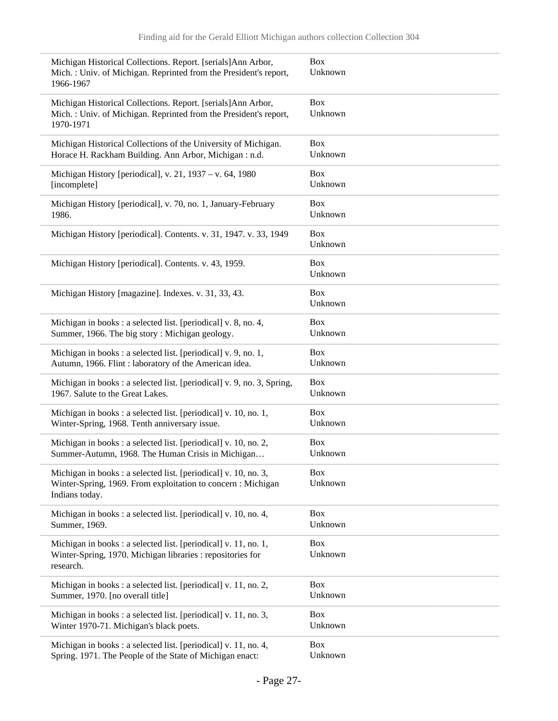| Michigan Historical Collections. Report. [serials]Ann Arbor,<br>Mich.: Univ. of Michigan. Reprinted from the President's report,<br>1966-1967   | <b>Box</b><br>Unknown |
|-------------------------------------------------------------------------------------------------------------------------------------------------|-----------------------|
| Michigan Historical Collections. Report. [serials]Ann Arbor,<br>Mich.: Univ. of Michigan. Reprinted from the President's report,<br>1970-1971   | <b>Box</b><br>Unknown |
| Michigan Historical Collections of the University of Michigan.                                                                                  | <b>Box</b>            |
| Horace H. Rackham Building. Ann Arbor, Michigan : n.d.                                                                                          | Unknown               |
| Michigan History [periodical], v. 21, 1937 – v. 64, 1980                                                                                        | <b>Box</b>            |
| [incomplete]                                                                                                                                    | Unknown               |
| Michigan History [periodical], v. 70, no. 1, January-February                                                                                   | <b>Box</b>            |
| 1986.                                                                                                                                           | Unknown               |
| Michigan History [periodical]. Contents. v. 31, 1947. v. 33, 1949                                                                               | <b>Box</b><br>Unknown |
| Michigan History [periodical]. Contents. v. 43, 1959.                                                                                           | Box<br>Unknown        |
| Michigan History [magazine]. Indexes. v. 31, 33, 43.                                                                                            | <b>Box</b><br>Unknown |
| Michigan in books : a selected list. [periodical] v. 8, no. 4,                                                                                  | <b>Box</b>            |
| Summer, 1966. The big story: Michigan geology.                                                                                                  | Unknown               |
| Michigan in books : a selected list. [periodical] v. 9, no. 1,                                                                                  | <b>Box</b>            |
| Autumn, 1966. Flint : laboratory of the American idea.                                                                                          | Unknown               |
| Michigan in books: a selected list. [periodical] v. 9, no. 3, Spring,                                                                           | <b>Box</b>            |
| 1967. Salute to the Great Lakes.                                                                                                                | Unknown               |
| Michigan in books: a selected list. [periodical] v. 10, no. 1,                                                                                  | <b>Box</b>            |
| Winter-Spring, 1968. Tenth anniversary issue.                                                                                                   | Unknown               |
| Michigan in books : a selected list. [periodical] v. 10, no. 2,                                                                                 | <b>Box</b>            |
| Summer-Autumn, 1968. The Human Crisis in Michigan                                                                                               | Unknown               |
| Michigan in books: a selected list. [periodical] v. 10, no. 3,<br>Winter-Spring, 1969. From exploitation to concern: Michigan<br>Indians today. | <b>Box</b><br>Unknown |
| Michigan in books : a selected list. [periodical] v. 10, no. 4,                                                                                 | <b>Box</b>            |
| Summer, 1969.                                                                                                                                   | Unknown               |
| Michigan in books : a selected list. [periodical] v. 11, no. 1,<br>Winter-Spring, 1970. Michigan libraries : repositories for<br>research.      | <b>Box</b><br>Unknown |
| Michigan in books : a selected list. [periodical] v. 11, no. 2,                                                                                 | Box                   |
| Summer, 1970. [no overall title]                                                                                                                | Unknown               |
| Michigan in books : a selected list. [periodical] v. 11, no. 3,                                                                                 | <b>Box</b>            |
| Winter 1970-71. Michigan's black poets.                                                                                                         | Unknown               |
| Michigan in books : a selected list. [periodical] v. 11, no. 4,                                                                                 | <b>Box</b>            |
| Spring. 1971. The People of the State of Michigan enact:                                                                                        | Unknown               |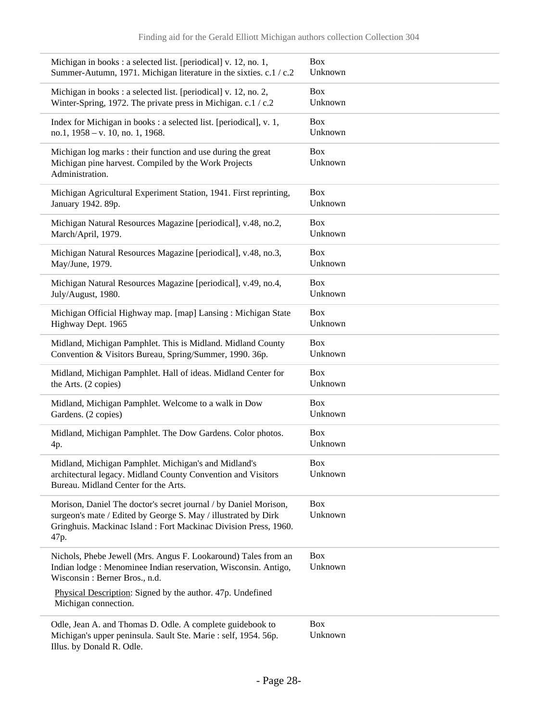| Michigan in books : a selected list. [periodical] v. 12, no. 1,                                                                                                                                               | <b>Box</b>            |
|---------------------------------------------------------------------------------------------------------------------------------------------------------------------------------------------------------------|-----------------------|
| Summer-Autumn, 1971. Michigan literature in the sixties. c.1 / c.2                                                                                                                                            | Unknown               |
| Michigan in books: a selected list. [periodical] v. 12, no. 2,                                                                                                                                                | <b>Box</b>            |
| Winter-Spring, 1972. The private press in Michigan. c.1 / c.2                                                                                                                                                 | Unknown               |
| Index for Michigan in books : a selected list. [periodical], v. 1,                                                                                                                                            | <b>Box</b>            |
| no.1, 1958 - v. 10, no. 1, 1968.                                                                                                                                                                              | Unknown               |
| Michigan log marks : their function and use during the great<br>Michigan pine harvest. Compiled by the Work Projects<br>Administration.                                                                       | <b>Box</b><br>Unknown |
| Michigan Agricultural Experiment Station, 1941. First reprinting,                                                                                                                                             | <b>Box</b>            |
| January 1942. 89p.                                                                                                                                                                                            | Unknown               |
| Michigan Natural Resources Magazine [periodical], v.48, no.2,                                                                                                                                                 | <b>Box</b>            |
| March/April, 1979.                                                                                                                                                                                            | Unknown               |
| Michigan Natural Resources Magazine [periodical], v.48, no.3,                                                                                                                                                 | <b>Box</b>            |
| May/June, 1979.                                                                                                                                                                                               | Unknown               |
| Michigan Natural Resources Magazine [periodical], v.49, no.4,                                                                                                                                                 | <b>Box</b>            |
| July/August, 1980.                                                                                                                                                                                            | Unknown               |
| Michigan Official Highway map. [map] Lansing: Michigan State                                                                                                                                                  | <b>Box</b>            |
| Highway Dept. 1965                                                                                                                                                                                            | Unknown               |
| Midland, Michigan Pamphlet. This is Midland. Midland County                                                                                                                                                   | <b>Box</b>            |
| Convention & Visitors Bureau, Spring/Summer, 1990. 36p.                                                                                                                                                       | Unknown               |
| Midland, Michigan Pamphlet. Hall of ideas. Midland Center for                                                                                                                                                 | <b>Box</b>            |
| the Arts. (2 copies)                                                                                                                                                                                          | Unknown               |
| Midland, Michigan Pamphlet. Welcome to a walk in Dow                                                                                                                                                          | <b>Box</b>            |
| Gardens. (2 copies)                                                                                                                                                                                           | Unknown               |
| Midland, Michigan Pamphlet. The Dow Gardens. Color photos.                                                                                                                                                    | <b>Box</b>            |
| 4p.                                                                                                                                                                                                           | Unknown               |
| Midland, Michigan Pamphlet. Michigan's and Midland's<br>architectural legacy. Midland County Convention and Visitors<br>Bureau. Midland Center for the Arts.                                                  | <b>Box</b><br>Unknown |
| Morison, Daniel The doctor's secret journal / by Daniel Morison,<br>surgeon's mate / Edited by George S. May / illustrated by Dirk<br>Gringhuis. Mackinac Island: Fort Mackinac Division Press, 1960.<br>47p. | <b>Box</b><br>Unknown |
| Nichols, Phebe Jewell (Mrs. Angus F. Lookaround) Tales from an<br>Indian lodge : Menominee Indian reservation, Wisconsin. Antigo,<br>Wisconsin: Berner Bros., n.d.                                            | Box<br>Unknown        |
| Physical Description: Signed by the author. 47p. Undefined<br>Michigan connection.                                                                                                                            |                       |
| Odle, Jean A. and Thomas D. Odle. A complete guidebook to<br>Michigan's upper peninsula. Sault Ste. Marie : self, 1954. 56p.<br>Illus. by Donald R. Odle.                                                     | <b>Box</b><br>Unknown |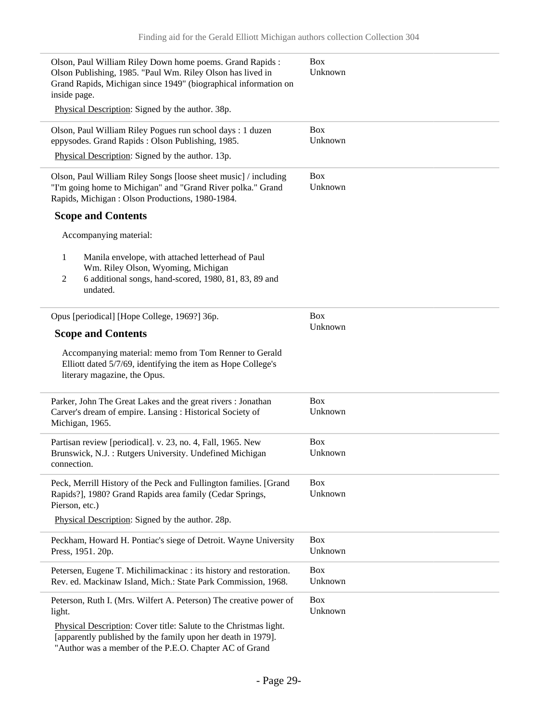i.

| Olson, Paul William Riley Down home poems. Grand Rapids:<br>Olson Publishing, 1985. "Paul Wm. Riley Olson has lived in<br>Grand Rapids, Michigan since 1949" (biographical information on<br>inside page. | <b>Box</b><br>Unknown |
|-----------------------------------------------------------------------------------------------------------------------------------------------------------------------------------------------------------|-----------------------|
| Physical Description: Signed by the author. 38p.                                                                                                                                                          |                       |
| Olson, Paul William Riley Pogues run school days: 1 duzen<br>eppysodes. Grand Rapids: Olson Publishing, 1985.                                                                                             | <b>Box</b><br>Unknown |
| Physical Description: Signed by the author. 13p.                                                                                                                                                          |                       |
| Olson, Paul William Riley Songs [loose sheet music] / including<br>"I'm going home to Michigan" and "Grand River polka." Grand<br>Rapids, Michigan: Olson Productions, 1980-1984.                         | <b>Box</b><br>Unknown |
| <b>Scope and Contents</b>                                                                                                                                                                                 |                       |
| Accompanying material:                                                                                                                                                                                    |                       |
| 1<br>Manila envelope, with attached letterhead of Paul<br>Wm. Riley Olson, Wyoming, Michigan<br>6 additional songs, hand-scored, 1980, 81, 83, 89 and<br>$\mathfrak{2}$<br>undated.                       |                       |
| Opus [periodical] [Hope College, 1969?] 36p.                                                                                                                                                              | Box                   |
| <b>Scope and Contents</b>                                                                                                                                                                                 | Unknown               |
| Accompanying material: memo from Tom Renner to Gerald<br>Elliott dated 5/7/69, identifying the item as Hope College's<br>literary magazine, the Opus.                                                     |                       |
| Parker, John The Great Lakes and the great rivers : Jonathan<br>Carver's dream of empire. Lansing : Historical Society of<br>Michigan, 1965.                                                              | <b>Box</b><br>Unknown |
| Partisan review [periodical]. v. 23, no. 4, Fall, 1965. New                                                                                                                                               | <b>Box</b>            |
| Brunswick, N.J.: Rutgers University. Undefined Michigan<br>connection.                                                                                                                                    | Unknown               |
| Peck, Merrill History of the Peck and Fullington families. [Grand<br>Rapids?], 1980? Grand Rapids area family (Cedar Springs,<br>Pierson, etc.)                                                           | <b>Box</b><br>Unknown |
| Physical Description: Signed by the author. 28p.                                                                                                                                                          |                       |
| Peckham, Howard H. Pontiac's siege of Detroit. Wayne University<br>Press, 1951. 20p.                                                                                                                      | <b>Box</b><br>Unknown |
| Petersen, Eugene T. Michilimackinac : its history and restoration.<br>Rev. ed. Mackinaw Island, Mich.: State Park Commission, 1968.                                                                       | <b>Box</b><br>Unknown |
| Peterson, Ruth I. (Mrs. Wilfert A. Peterson) The creative power of<br>light.                                                                                                                              | <b>Box</b><br>Unknown |
| Physical Description: Cover title: Salute to the Christmas light.<br>[apparently published by the family upon her death in 1979].<br>"Author was a member of the P.E.O. Chapter AC of Grand               |                       |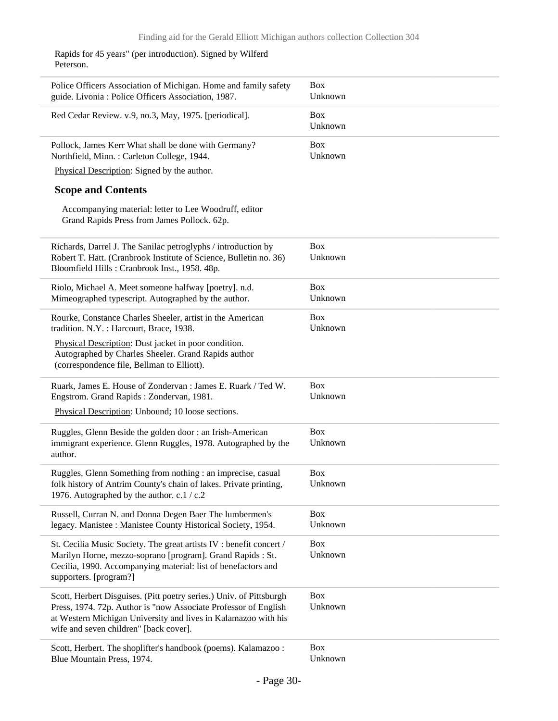Rapids for 45 years" (per introduction). Signed by Wilferd Peterson.

| Police Officers Association of Michigan. Home and family safety<br>guide. Livonia: Police Officers Association, 1987.                                                       | <b>Box</b><br>Unknown |
|-----------------------------------------------------------------------------------------------------------------------------------------------------------------------------|-----------------------|
| Red Cedar Review. v.9, no.3, May, 1975. [periodical].                                                                                                                       | <b>Box</b><br>Unknown |
| Pollock, James Kerr What shall be done with Germany?<br>Northfield, Minn.: Carleton College, 1944.                                                                          | <b>Box</b><br>Unknown |
| Physical Description: Signed by the author.                                                                                                                                 |                       |
| <b>Scope and Contents</b>                                                                                                                                                   |                       |
| Accompanying material: letter to Lee Woodruff, editor<br>Grand Rapids Press from James Pollock. 62p.                                                                        |                       |
| Richards, Darrel J. The Sanilac petroglyphs / introduction by                                                                                                               | <b>Box</b>            |
| Robert T. Hatt. (Cranbrook Institute of Science, Bulletin no. 36)<br>Bloomfield Hills: Cranbrook Inst., 1958. 48p.                                                          | Unknown               |
| Riolo, Michael A. Meet someone halfway [poetry]. n.d.                                                                                                                       | <b>Box</b>            |
| Mimeographed typescript. Autographed by the author.                                                                                                                         | Unknown               |
| Rourke, Constance Charles Sheeler, artist in the American<br>tradition. N.Y.: Harcourt, Brace, 1938.                                                                        | <b>Box</b><br>Unknown |
| Physical Description: Dust jacket in poor condition.<br>Autographed by Charles Sheeler. Grand Rapids author<br>(correspondence file, Bellman to Elliott).                   |                       |
| Ruark, James E. House of Zondervan: James E. Ruark / Ted W.                                                                                                                 | <b>Box</b>            |
| Engstrom. Grand Rapids: Zondervan, 1981.                                                                                                                                    | Unknown               |
| Physical Description: Unbound; 10 loose sections.                                                                                                                           |                       |
| Ruggles, Glenn Beside the golden door: an Irish-American<br>immigrant experience. Glenn Ruggles, 1978. Autographed by the<br>author.                                        | <b>Box</b><br>Unknown |
| Ruggles, Glenn Something from nothing : an imprecise, casual                                                                                                                | <b>Box</b>            |
| folk history of Antrim County's chain of lakes. Private printing,<br>1976. Autographed by the author. c.1 / c.2                                                             | Unknown               |
| Russell, Curran N. and Donna Degen Baer The lumbermen's                                                                                                                     | <b>Box</b>            |
| legacy. Manistee: Manistee County Historical Society, 1954.                                                                                                                 | Unknown               |
| St. Cecilia Music Society. The great artists IV : benefit concert /                                                                                                         | <b>Box</b>            |
| Marilyn Horne, mezzo-soprano [program]. Grand Rapids : St.<br>Cecilia, 1990. Accompanying material: list of benefactors and<br>supporters. [program?]                       | Unknown               |
| Scott, Herbert Disguises. (Pitt poetry series.) Univ. of Pittsburgh                                                                                                         | <b>Box</b>            |
| Press, 1974. 72p. Author is "now Associate Professor of English<br>at Western Michigan University and lives in Kalamazoo with his<br>wife and seven children" [back cover]. | Unknown               |
| Scott, Herbert. The shoplifter's handbook (poems). Kalamazoo:                                                                                                               | <b>Box</b>            |
| Blue Mountain Press, 1974.                                                                                                                                                  | Unknown               |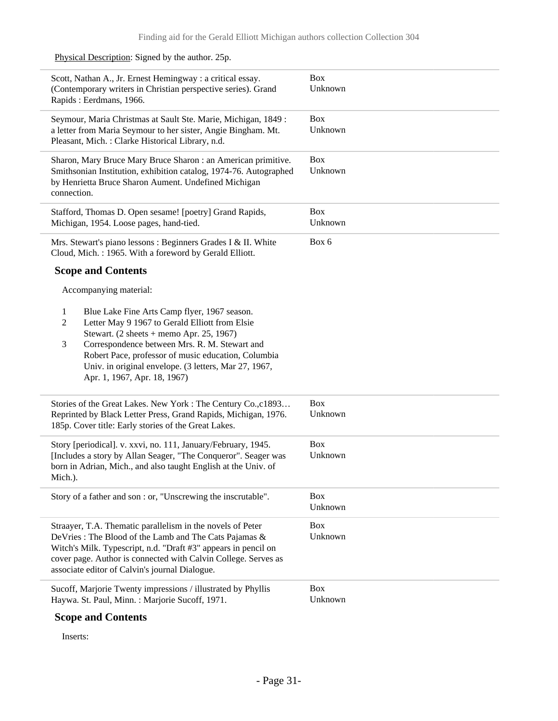| Scott, Nathan A., Jr. Ernest Hemingway : a critical essay.<br>(Contemporary writers in Christian perspective series). Grand<br>Rapids: Eerdmans, 1966.                                                                                                                                                                                                                                    | <b>Box</b><br>Unknown |
|-------------------------------------------------------------------------------------------------------------------------------------------------------------------------------------------------------------------------------------------------------------------------------------------------------------------------------------------------------------------------------------------|-----------------------|
| Seymour, Maria Christmas at Sault Ste. Marie, Michigan, 1849:<br>a letter from Maria Seymour to her sister, Angie Bingham. Mt.<br>Pleasant, Mich.: Clarke Historical Library, n.d.                                                                                                                                                                                                        | <b>Box</b><br>Unknown |
| Sharon, Mary Bruce Mary Bruce Sharon : an American primitive.<br>Smithsonian Institution, exhibition catalog, 1974-76. Autographed<br>by Henrietta Bruce Sharon Aument. Undefined Michigan<br>connection.                                                                                                                                                                                 | <b>Box</b><br>Unknown |
| Stafford, Thomas D. Open sesame! [poetry] Grand Rapids,<br>Michigan, 1954. Loose pages, hand-tied.                                                                                                                                                                                                                                                                                        | <b>Box</b><br>Unknown |
| Mrs. Stewart's piano lessons : Beginners Grades I & II. White<br>Cloud, Mich.: 1965. With a foreword by Gerald Elliott.                                                                                                                                                                                                                                                                   | Box 6                 |
| <b>Scope and Contents</b>                                                                                                                                                                                                                                                                                                                                                                 |                       |
| Accompanying material:                                                                                                                                                                                                                                                                                                                                                                    |                       |
| Blue Lake Fine Arts Camp flyer, 1967 season.<br>1<br>Letter May 9 1967 to Gerald Elliott from Elsie<br>$\overline{2}$<br>Stewart. $(2 \text{ sheets} + \text{memo Apr. } 25, 1967)$<br>Correspondence between Mrs. R. M. Stewart and<br>3<br>Robert Pace, professor of music education, Columbia<br>Univ. in original envelope. (3 letters, Mar 27, 1967,<br>Apr. 1, 1967, Apr. 18, 1967) |                       |
| Stories of the Great Lakes. New York: The Century Co., c1893<br>Reprinted by Black Letter Press, Grand Rapids, Michigan, 1976.<br>185p. Cover title: Early stories of the Great Lakes.                                                                                                                                                                                                    | <b>Box</b><br>Unknown |
| Story [periodical]. v. xxvi, no. 111, January/February, 1945.<br>[Includes a story by Allan Seager, "The Conqueror". Seager was<br>born in Adrian, Mich., and also taught English at the Univ. of<br>Mich.).                                                                                                                                                                              | <b>Box</b><br>Unknown |
| Story of a father and son : or, "Unscrewing the inscrutable".                                                                                                                                                                                                                                                                                                                             | <b>Box</b><br>Unknown |
| Straayer, T.A. Thematic parallelism in the novels of Peter<br>DeVries: The Blood of the Lamb and The Cats Pajamas &<br>Witch's Milk. Typescript, n.d. "Draft #3" appears in pencil on<br>cover page. Author is connected with Calvin College. Serves as<br>associate editor of Calvin's journal Dialogue.                                                                                 | <b>Box</b><br>Unknown |
| Sucoff, Marjorie Twenty impressions / illustrated by Phyllis<br>Haywa. St. Paul, Minn.: Marjorie Sucoff, 1971.                                                                                                                                                                                                                                                                            | <b>Box</b><br>Unknown |
| <b>Coope and Contents</b>                                                                                                                                                                                                                                                                                                                                                                 |                       |

Physical Description: Signed by the author. 25p.

 $\overline{a}$ 

L,

i.

### **Scope and Contents**

Inserts:

 $\frac{1}{2}$ 

 $\overline{\phantom{0}}$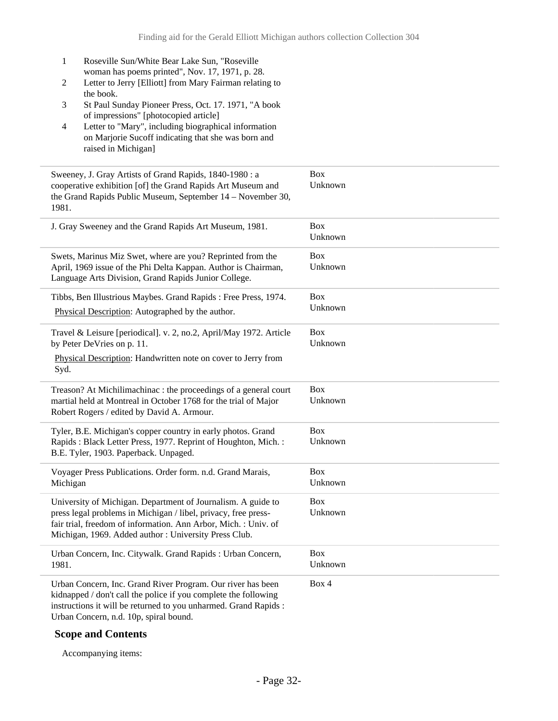- 1 Roseville Sun/White Bear Lake Sun, "Roseville woman has poems printed", Nov. 17, 1971, p. 28.
- 2 Letter to Jerry [Elliott] from Mary Fairman relating to the book.
- 3 St Paul Sunday Pioneer Press, Oct. 17. 1971, "A book of impressions" [photocopied article]
- 4 Letter to "Mary", including biographical information on Marjorie Sucoff indicating that she was born and raised in Michigan]

| Sweeney, J. Gray Artists of Grand Rapids, 1840-1980 : a<br>cooperative exhibition [of] the Grand Rapids Art Museum and<br>the Grand Rapids Public Museum, September 14 – November 30,<br>1981.                                                            | <b>Box</b><br>Unknown |
|-----------------------------------------------------------------------------------------------------------------------------------------------------------------------------------------------------------------------------------------------------------|-----------------------|
| J. Gray Sweeney and the Grand Rapids Art Museum, 1981.                                                                                                                                                                                                    | <b>Box</b><br>Unknown |
| Swets, Marinus Miz Swet, where are you? Reprinted from the<br>April, 1969 issue of the Phi Delta Kappan. Author is Chairman,<br>Language Arts Division, Grand Rapids Junior College.                                                                      | <b>Box</b><br>Unknown |
| Tibbs, Ben Illustrious Maybes. Grand Rapids : Free Press, 1974.<br>Physical Description: Autographed by the author.                                                                                                                                       | <b>Box</b><br>Unknown |
| Travel & Leisure [periodical]. v. 2, no.2, April/May 1972. Article<br>by Peter DeVries on p. 11.<br>Physical Description: Handwritten note on cover to Jerry from<br>Syd.                                                                                 | <b>Box</b><br>Unknown |
| Treason? At Michilimachinac : the proceedings of a general court<br>martial held at Montreal in October 1768 for the trial of Major<br>Robert Rogers / edited by David A. Armour.                                                                         | <b>Box</b><br>Unknown |
| Tyler, B.E. Michigan's copper country in early photos. Grand<br>Rapids: Black Letter Press, 1977. Reprint of Houghton, Mich.:<br>B.E. Tyler, 1903. Paperback. Unpaged.                                                                                    | <b>Box</b><br>Unknown |
| Voyager Press Publications. Order form. n.d. Grand Marais,<br>Michigan                                                                                                                                                                                    | <b>Box</b><br>Unknown |
| University of Michigan. Department of Journalism. A guide to<br>press legal problems in Michigan / libel, privacy, free press-<br>fair trial, freedom of information. Ann Arbor, Mich. : Univ. of<br>Michigan, 1969. Added author: University Press Club. | <b>Box</b><br>Unknown |
| Urban Concern, Inc. Citywalk. Grand Rapids : Urban Concern,<br>1981.                                                                                                                                                                                      | <b>Box</b><br>Unknown |
| Urban Concern, Inc. Grand River Program. Our river has been<br>kidnapped / don't call the police if you complete the following<br>instructions it will be returned to you unharmed. Grand Rapids :<br>Urban Concern, n.d. 10p, spiral bound.              | Box 4                 |

#### **Scope and Contents**

Accompanying items: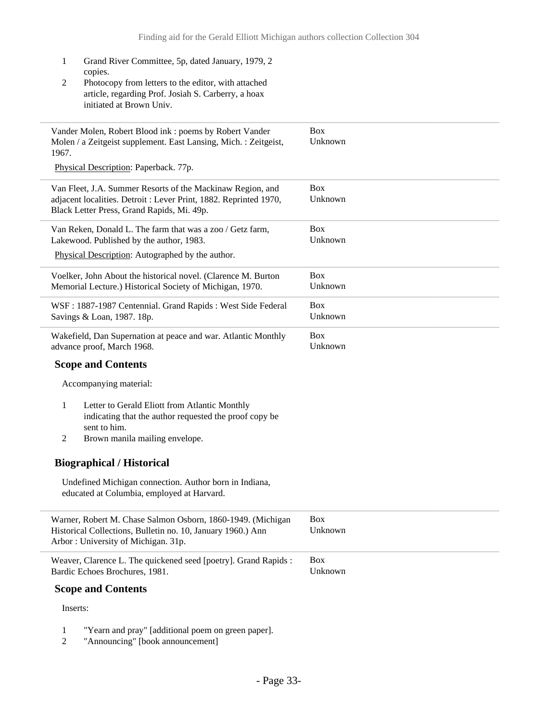- 1 Grand River Committee, 5p, dated January, 1979, 2 copies. 2 Photocopy from letters to the editor, with attached article, regarding Prof. Josiah S. Carberry, a hoax initiated at Brown Univ. Vander Molen, Robert Blood ink : poems by Robert Vander Molen / a Zeitgeist supplement. East Lansing, Mich. : Zeitgeist, 1967. Physical Description: Paperback. 77p. Box Unknown Van Fleet, J.A. Summer Resorts of the Mackinaw Region, and adjacent localities. Detroit : Lever Print, 1882. Reprinted 1970, Black Letter Press, Grand Rapids, Mi. 49p. Box Unknown Van Reken, Donald L. The farm that was a zoo / Getz farm, Lakewood. Published by the author, 1983. Physical Description: Autographed by the author. Box Unknown Voelker, John About the historical novel. (Clarence M. Burton Memorial Lecture.) Historical Society of Michigan, 1970. Box Unknown WSF : 1887-1987 Centennial. Grand Rapids : West Side Federal Savings & Loan, 1987. 18p. Box Unknown Wakefield, Dan Supernation at peace and war. Atlantic Monthly advance proof, March 1968. **Scope and Contents** Accompanying material: 1 Letter to Gerald Eliott from Atlantic Monthly indicating that the author requested the proof copy be sent to him. 2 Brown manila mailing envelope. **Biographical / Historical** Undefined Michigan connection. Author born in Indiana, educated at Columbia, employed at Harvard. Box Unknown Warner, Robert M. Chase Salmon Osborn, 1860-1949. (Michigan Historical Collections, Bulletin no. 10, January 1960.) Ann Arbor : University of Michigan. 31p. Box Unknown Weaver, Clarence L. The quickened seed [poetry]. Grand Rapids : Bardic Echoes Brochures, 1981. **Scope and Contents** Inserts: Box Unknown
	- 1 "Yearn and pray" [additional poem on green paper].<br>2 "Announcing" [book announcement]
	- "Announcing" [book announcement]